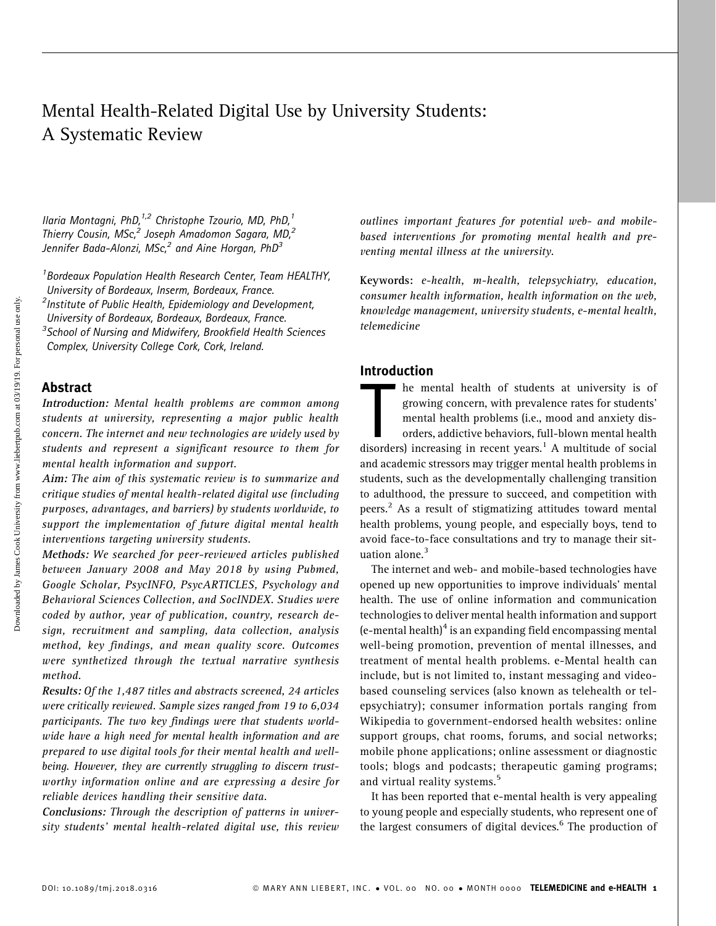# Mental Health-Related Digital Use by University Students: A Systematic Review

Ilaria Montagni, PhD,<sup>1,2</sup> Christophe Tzourio, MD, PhD,<sup>1</sup> Thierry Cousin, MSc,<sup>2</sup> Joseph Amadomon Sagara, MD,<sup>2</sup> Jennifer Bada-Alonzi, MSc,<sup>2</sup> and Aine Horgan, PhD<sup>3</sup>

<sup>1</sup> Bordeaux Population Health Research Center, Team HEALTHY, University of Bordeaux, Inserm, Bordeaux, France. <sup>2</sup>Institute of Public Health, Epidemiology and Development, University of Bordeaux, Bordeaux, Bordeaux, France. <sup>3</sup> School of Nursing and Midwifery, Brookfield Health Sciences Complex, University College Cork, Cork, Ireland.

### Abstract

Introduction: Mental health problems are common among students at university, representing a major public health concern. The internet and new technologies are widely used by students and represent a significant resource to them for mental health information and support.

Aim: The aim of this systematic review is to summarize and critique studies of mental health-related digital use (including purposes, advantages, and barriers) by students worldwide, to support the implementation of future digital mental health interventions targeting university students.

Methods: We searched for peer-reviewed articles published between January 2008 and May 2018 by using Pubmed, Google Scholar, PsycINFO, PsycARTICLES, Psychology and Behavioral Sciences Collection, and SocINDEX. Studies were coded by author, year of publication, country, research design, recruitment and sampling, data collection, analysis method, key findings, and mean quality score. Outcomes were synthetized through the textual narrative synthesis method.

Results: Of the 1,487 titles and abstracts screened, 24 articles were critically reviewed. Sample sizes ranged from 19 to 6,034 participants. The two key findings were that students worldwide have a high need for mental health information and are prepared to use digital tools for their mental health and wellbeing. However, they are currently struggling to discern trustworthy information online and are expressing a desire for reliable devices handling their sensitive data.

Conclusions: Through the description of patterns in university students' mental health-related digital use, this review outlines important features for potential web- and mobilebased interventions for promoting mental health and preventing mental illness at the university.

Keywords: e-health, m-health, telepsychiatry, education, consumer health information, health information on the web, knowledge management, university students, e-mental health, telemedicine

### Introduction

Increase the mental health of students at university is of<br>growing concern, with prevalence rates for students'<br>mental health problems (i.e., mood and anxiety dis-<br>orders, addictive behaviors, full-blown mental health<br>diso he mental health of students at university is of growing concern, with prevalence rates for students' mental health problems (i.e., mood and anxiety disorders, addictive behaviors, full-blown mental health and academic stressors may trigger mental health problems in students, such as the developmentally challenging transition to adulthood, the pressure to succeed, and competition with peers.<sup>2</sup> As a result of stigmatizing attitudes toward mental health problems, young people, and especially boys, tend to avoid face-to-face consultations and try to manage their situation alone.<sup>3</sup>

The internet and web- and mobile-based technologies have opened up new opportunities to improve individuals' mental health. The use of online information and communication technologies to deliver mental health information and support (e-mental health) $4$  is an expanding field encompassing mental well-being promotion, prevention of mental illnesses, and treatment of mental health problems. e-Mental health can include, but is not limited to, instant messaging and videobased counseling services (also known as telehealth or telepsychiatry); consumer information portals ranging from Wikipedia to government-endorsed health websites: online support groups, chat rooms, forums, and social networks; mobile phone applications; online assessment or diagnostic tools; blogs and podcasts; therapeutic gaming programs; and virtual reality systems.<sup>5</sup>

It has been reported that e-mental health is very appealing to young people and especially students, who represent one of the largest consumers of digital devices.<sup>6</sup> The production of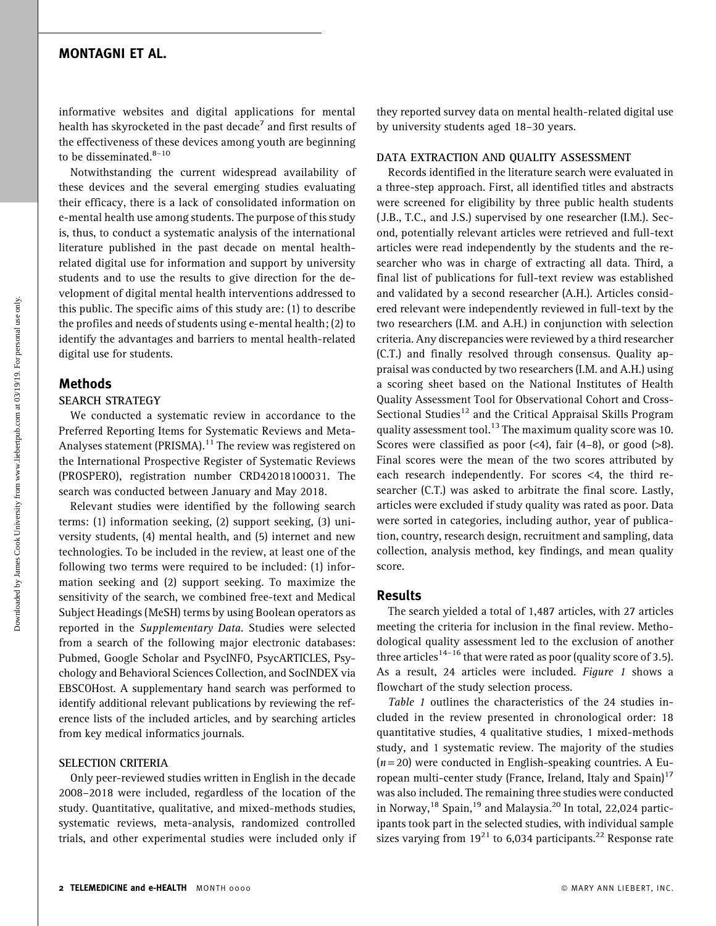### MONTAGNI ET AL.

informative websites and digital applications for mental health has skyrocketed in the past decade<sup> $\prime$ </sup> and first results of the effectiveness of these devices among youth are beginning to be disseminated.<sup>8-10</sup>

Notwithstanding the current widespread availability of these devices and the several emerging studies evaluating their efficacy, there is a lack of consolidated information on e-mental health use among students. The purpose of this study is, thus, to conduct a systematic analysis of the international literature published in the past decade on mental healthrelated digital use for information and support by university students and to use the results to give direction for the development of digital mental health interventions addressed to this public. The specific aims of this study are: (1) to describe the profiles and needs of students using e-mental health; (2) to identify the advantages and barriers to mental health-related digital use for students.

### Methods

#### SEARCH STRATEGY

We conducted a systematic review in accordance to the Preferred Reporting Items for Systematic Reviews and Meta-Analyses statement (PRISMA). $<sup>11</sup>$  The review was registered on</sup> the International Prospective Register of Systematic Reviews (PROSPERO), registration number CRD42018100031. The search was conducted between January and May 2018.

Relevant studies were identified by the following search terms: (1) information seeking, (2) support seeking, (3) university students, (4) mental health, and (5) internet and new technologies. To be included in the review, at least one of the following two terms were required to be included: (1) information seeking and (2) support seeking. To maximize the sensitivity of the search, we combined free-text and Medical Subject Headings (MeSH) terms by using Boolean operators as reported in the Supplementary Data. Studies were selected from a search of the following major electronic databases: Pubmed, Google Scholar and PsycINFO, PsycARTICLES, Psychology and Behavioral Sciences Collection, and SocINDEX via EBSCOHost. A supplementary hand search was performed to identify additional relevant publications by reviewing the reference lists of the included articles, and by searching articles from key medical informatics journals.

#### SELECTION CRITERIA

Only peer-reviewed studies written in English in the decade 2008–2018 were included, regardless of the location of the study. Quantitative, qualitative, and mixed-methods studies, systematic reviews, meta-analysis, randomized controlled trials, and other experimental studies were included only if

they reported survey data on mental health-related digital use by university students aged 18–30 years.

#### DATA EXTRACTION AND QUALITY ASSESSMENT

Records identified in the literature search were evaluated in a three-step approach. First, all identified titles and abstracts were screened for eligibility by three public health students ( J.B., T.C., and J.S.) supervised by one researcher (I.M.). Second, potentially relevant articles were retrieved and full-text articles were read independently by the students and the researcher who was in charge of extracting all data. Third, a final list of publications for full-text review was established and validated by a second researcher (A.H.). Articles considered relevant were independently reviewed in full-text by the two researchers (I.M. and A.H.) in conjunction with selection criteria. Any discrepancies were reviewed by a third researcher (C.T.) and finally resolved through consensus. Quality appraisal was conducted by two researchers (I.M. and A.H.) using a scoring sheet based on the National Institutes of Health Quality Assessment Tool for Observational Cohort and Cross-Sectional Studies<sup>12</sup> and the Critical Appraisal Skills Program quality assessment tool.<sup>13</sup> The maximum quality score was 10. Scores were classified as poor  $(\leq 4)$ , fair  $(4-8)$ , or good  $(>8)$ . Final scores were the mean of the two scores attributed by each research independently. For scores <4, the third researcher (C.T.) was asked to arbitrate the final score. Lastly, articles were excluded if study quality was rated as poor. Data were sorted in categories, including author, year of publication, country, research design, recruitment and sampling, data collection, analysis method, key findings, and mean quality score.

#### Results

The search yielded a total of 1,487 articles, with 27 articles meeting the criteria for inclusion in the final review. Methodological quality assessment led to the exclusion of another three articles<sup>14–16</sup> that were rated as poor (quality score of 3.5). As a result, 24 articles were included. Figure 1 shows a flowchart of the study selection process.

Table 1 outlines the characteristics of the 24 studies included in the review presented in chronological order: 18 quantitative studies, 4 qualitative studies, 1 mixed-methods study, and 1 systematic review. The majority of the studies  $(n=20)$  were conducted in English-speaking countries. A European multi-center study (France, Ireland, Italy and Spain)<sup>17</sup> was also included. The remaining three studies were conducted in Norway,<sup>18</sup> Spain,<sup>19</sup> and Malaysia.<sup>20</sup> In total, 22,024 participants took part in the selected studies, with individual sample sizes varying from  $19^{21}$  to 6,034 participants.<sup>22</sup> Response rate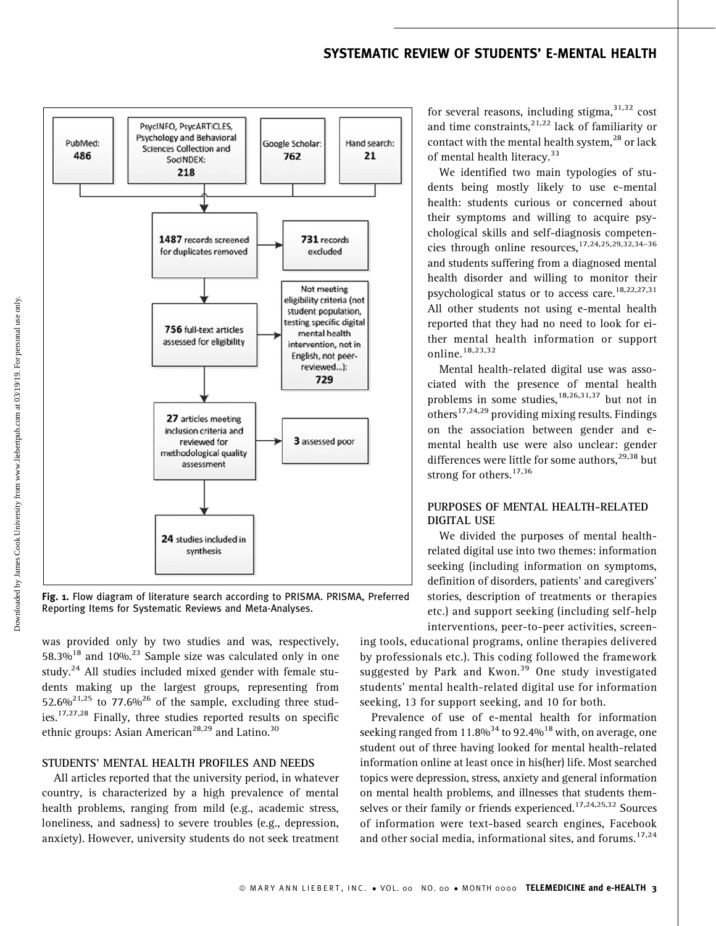# SYSTEMATIC REVIEW OF STUDENTS' E-MENTAL HEALTH



Fig. 1. Flow diagram of literature search according to PRISMA. PRISMA, Preferred Reporting Items for Systematic Reviews and Meta-Analyses.

was provided only by two studies and was, respectively, 58.3%<sup>18</sup> and 10%<sup>23</sup> Sample size was calculated only in one study.<sup>24</sup> All studies included mixed gender with female students making up the largest groups, representing from 52.6%<sup>21,25</sup> to 77.6%<sup>26</sup> of the sample, excluding three studies.17,27,28 Finally, three studies reported results on specific ethnic groups: Asian American<sup>28,29</sup> and Latino.<sup>30</sup>

#### STUDENTS' MENTAL HEALTH PROFILES AND NEEDS

All articles reported that the university period, in whatever country, is characterized by a high prevalence of mental health problems, ranging from mild (e.g., academic stress, loneliness, and sadness) to severe troubles (e.g., depression, anxiety). However, university students do not seek treatment

for several reasons, including stigma,  $31,32$  cost and time constraints, $2^{1,22}$  lack of familiarity or contact with the mental health system,<sup>28</sup> or lack of mental health literacy.<sup>33</sup>

We identified two main typologies of students being mostly likely to use e-mental health: students curious or concerned about their symptoms and willing to acquire psychological skills and self-diagnosis competencies through online resources,17,24,25,29,32,34–36 and students suffering from a diagnosed mental health disorder and willing to monitor their psychological status or to access care.<sup>18,22,27,31</sup> All other students not using e-mental health reported that they had no need to look for either mental health information or support online.<sup>18,23,32</sup>

Mental health-related digital use was associated with the presence of mental health problems in some studies,  $18,26,31,37$  but not in others $17,24,29$  providing mixing results. Findings on the association between gender and emental health use were also unclear: gender differences were little for some authors,<sup>29,38</sup> but strong for others.<sup>17,36</sup>

### PURPOSES OF MENTAL HEALTH-RELATED DIGITAL USE

We divided the purposes of mental healthrelated digital use into two themes: information seeking (including information on symptoms, definition of disorders, patients' and caregivers' stories, description of treatments or therapies etc.) and support seeking (including self-help interventions, peer-to-peer activities, screen-

ing tools, educational programs, online therapies delivered by professionals etc.). This coding followed the framework suggested by Park and Kwon.<sup>39</sup> One study investigated students' mental health-related digital use for information seeking, 13 for support seeking, and 10 for both.

Prevalence of use of e-mental health for information seeking ranged from 11.8% $^{34}$  to 92.4% $^{18}$  with, on average, one student out of three having looked for mental health-related information online at least once in his(her) life. Most searched topics were depression, stress, anxiety and general information on mental health problems, and illnesses that students themselves or their family or friends experienced.<sup>17,24,25,32</sup> Sources of information were text-based search engines, Facebook and other social media, informational sites, and forums.<sup>17,24</sup>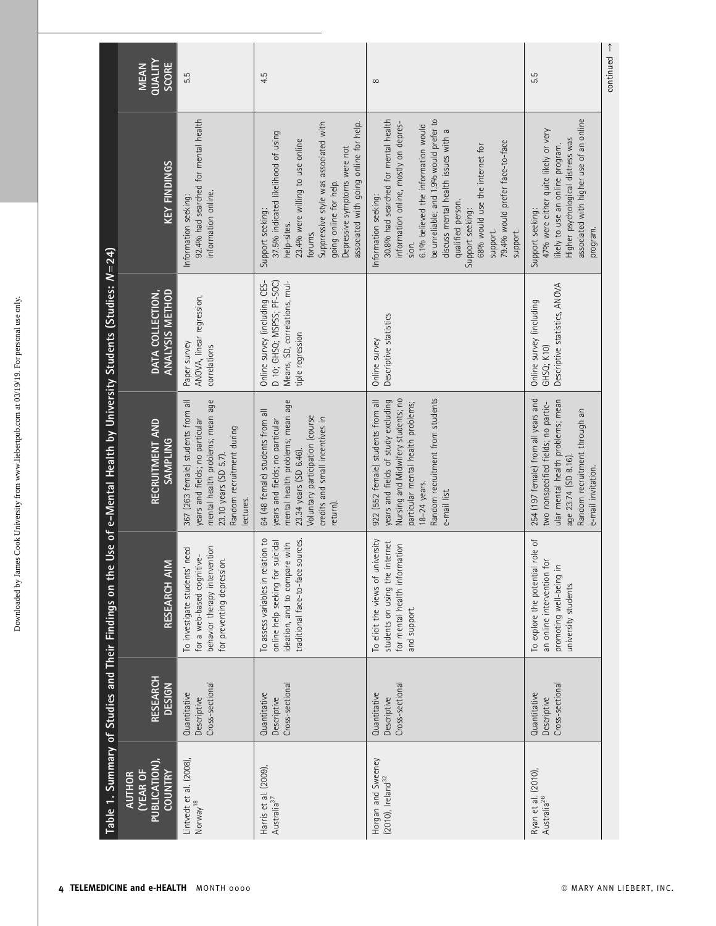Downloaded by James Cook University from www.liebertpub.com at 03/19/19. For personal use only. Downloaded by James Cook University from www.liebertpub.com at 03/19/19. For personal use only.

|                                                               | QUALITY<br>SCORE<br><b>MEAN</b>                                     | 5.5                                                                                                                                                                         | 4.5                                                                                                                                                                                                                                                                | $\infty$                                                                                                                                                                                                                                                                                                                                                                      | $continued \rightarrow$<br>5.5                                                                                                                                                                 |
|---------------------------------------------------------------|---------------------------------------------------------------------|-----------------------------------------------------------------------------------------------------------------------------------------------------------------------------|--------------------------------------------------------------------------------------------------------------------------------------------------------------------------------------------------------------------------------------------------------------------|-------------------------------------------------------------------------------------------------------------------------------------------------------------------------------------------------------------------------------------------------------------------------------------------------------------------------------------------------------------------------------|------------------------------------------------------------------------------------------------------------------------------------------------------------------------------------------------|
|                                                               | KEY FINDINGS                                                        | 92.4% had searched for mental health<br>information online.<br>Information seeking:                                                                                         | Suppressive style was associated with<br>associated with going online for help.<br>37.5% indicated likelihood of using<br>23.4% were willing to use online<br>Depressive symptoms were not<br>going online for help.<br>Support seeking:<br>help-sites.<br>forums. | be unreliable; and 1.9% would prefer to<br>30.8% had searched for mental health<br>information online, mostly on depres-<br>6.1% believed the information would<br>discuss mental health issues with a<br>79.4% would prefer face-to-face<br>68% would use the internet for<br>Information seeking:<br>qualified person.<br>Support seeking:<br>support.<br>support.<br>sion. | associated with higher use of an online<br>47% were either quite likely or very<br>Higher psychological distress was<br>likely to use an online program.<br>Support seeking:<br>program.       |
|                                                               | DATA COLLECTION,<br>ANALYSIS METHOD                                 | ANOVA, linear regression,<br>Paper survey<br>correlations                                                                                                                   | Means, SD, correlations, mul-<br>D 10; GHSQ; MSPSS; PF-SOC)<br>Online survey (including CES-<br>tiple regression                                                                                                                                                   | Descriptive statistics<br>Online survey                                                                                                                                                                                                                                                                                                                                       | Descriptive statistics, ANOVA<br>Online survey (including<br>GHSQ; K10)                                                                                                                        |
| Use of e-Mental Health by University Students (Studies: N=24) | RECRUITMENT AND<br><b>SAMPLING</b>                                  | mental health problems; mean age<br>367 (263 female) students from all<br>years and fields; no particular<br>Random recruitment during<br>23.10 years (SD 5.7).<br>ectures. | mental health problems; mean age<br>64 (48 female) students from all<br>Voluntary participation (course<br>credits and small incentives in<br>years and fields; no particular<br>23.34 years (SD 6.46).<br>return).                                                | Random recruitment from students<br>Nursing and Midwifery students; no<br>years and fields of study excluding<br>922 (552 female) students from all<br>particular mental health problems;<br>18-24 years.<br>e-mail list.                                                                                                                                                     | 254 (197 female) from all years and<br>ular mental health problems; mean<br>two nonspecified fields; no partic-<br>Random recruitment through an<br>age 23.74 (SD 8.16).<br>e-mail invitation. |
| Table 1. Summary of Studies and Their Findings on the         | RESEARCH AIM                                                        | behavior therapy intervention<br>need<br>for a web-based cognitive-<br>for preventing depression.<br>To investigate students'                                               | To assess variables in relation to<br>traditional face-to-face sources.<br>online help seeking for suicidal<br>ideation, and to compare with                                                                                                                       | To elicit the views of university<br>students on using the internet<br>for mental health information<br>and support.                                                                                                                                                                                                                                                          | role of<br>an online intervention for<br>promoting well-being in<br>To explore the potential<br>university students.                                                                           |
|                                                               | <b>RESEARCH</b><br><b>DESIGN</b>                                    | Cross-sectional<br>Quantitative<br>Descriptive                                                                                                                              | Cross-sectional<br>Quantitative<br>Descriptive                                                                                                                                                                                                                     | Cross-sectional<br>Quantitative<br>Descriptive                                                                                                                                                                                                                                                                                                                                | Cross-sectional<br>Quantitative<br>Descriptive                                                                                                                                                 |
|                                                               | PUBLICATION),<br><b>(YEAR OF</b><br><b>COUNTRY</b><br><b>AUTHOR</b> | Lintvedt et al. (2008),<br>Norway <sup>18</sup>                                                                                                                             | Harris et al. (2009),<br>Australia <sup>37</sup>                                                                                                                                                                                                                   | Horgan and Sweeney<br>(2010), Ireland <sup>32</sup>                                                                                                                                                                                                                                                                                                                           | Ryan et al. (2010),<br>Australia <sup>26</sup>                                                                                                                                                 |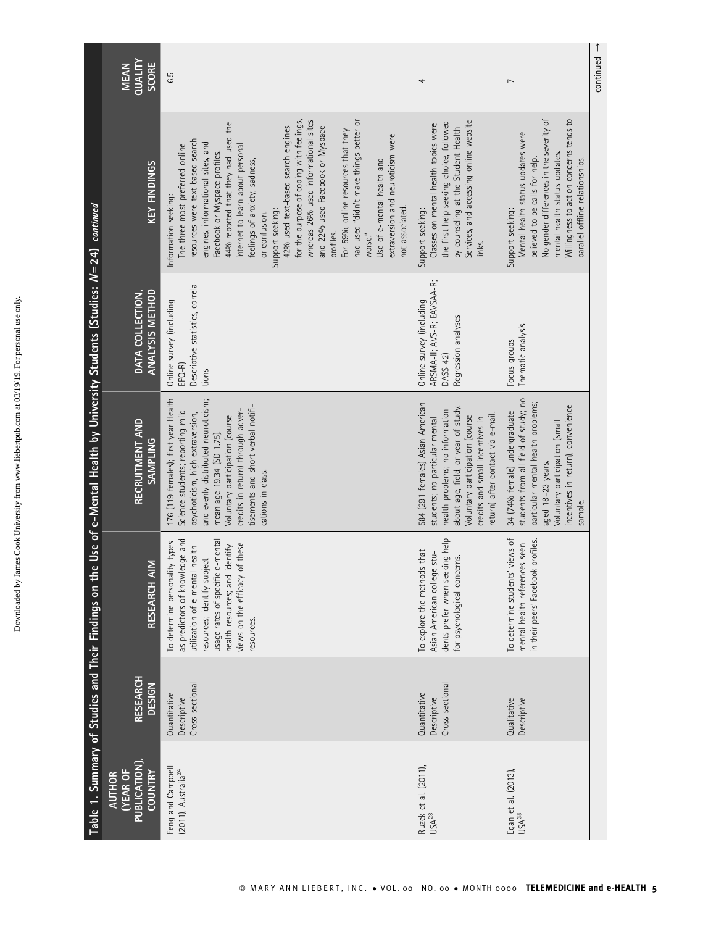|                                                                         | QUALITY<br>SCORE<br><b>MEAN</b>                                    | G.5                                                                                                                                                                                                                                                                                                                                                                                                                                                                                                                                                                                                                                                                             | 4                                                                                                                                                                                                                                                       | $\overline{ }$                                                                                                                                                                                                                                     | $continued \rightarrow$ |
|-------------------------------------------------------------------------|--------------------------------------------------------------------|---------------------------------------------------------------------------------------------------------------------------------------------------------------------------------------------------------------------------------------------------------------------------------------------------------------------------------------------------------------------------------------------------------------------------------------------------------------------------------------------------------------------------------------------------------------------------------------------------------------------------------------------------------------------------------|---------------------------------------------------------------------------------------------------------------------------------------------------------------------------------------------------------------------------------------------------------|----------------------------------------------------------------------------------------------------------------------------------------------------------------------------------------------------------------------------------------------------|-------------------------|
|                                                                         | KEY FINDINGS                                                       | for the purpose of coping with feelings,<br>had used "didn't make things better or<br>whereas 26% used informational sites<br>44% reported that they had used the<br>42% used text-based search engines<br>and 22% used Facebook or Myspace<br>For 59%, online resources that they<br>extraversion and neuroticism were<br>resources were text-based search<br>engines, informational sites, and<br>The three most preferred online<br>internet to learn about personal<br>Facebook or Myspace profiles.<br>feelings of anxiety, sadness,<br>Use of e-mental health and<br>Information seeking:<br>not associated.<br>Support seeking:<br>or confusion.<br>profiles.<br>worse." | Services, and accessing online website<br>the first help seeking choice, followed<br>Classes on mental health topics were<br>by counseling at the Student Health<br>Support seeking:<br>links.                                                          | No gender differences in the severity of<br>Willingness to act on concerns tends to<br>Mental health status updates were<br>mental health status updates.<br>believed to be calls for help.<br>parallel offline relationships.<br>Support seeking: |                         |
|                                                                         | ANALYSIS METHOD<br>DATA COLLECTION,                                | Descriptive statistics, correla-<br>Online survey (including<br>$EPQ-R$<br>tions                                                                                                                                                                                                                                                                                                                                                                                                                                                                                                                                                                                                | ARSMA-II; AVS-R; EAVSAA-R;<br>Online survey (including<br>Regression analyses<br>DASS-42)                                                                                                                                                               | Thematic analysis<br>Focus groups                                                                                                                                                                                                                  |                         |
| Use of e-Mental Health by University Students (Studies: N=24) continued | RECRUITMENT AND<br><b>SAMPLING</b>                                 | 176 (119 females); first year Health<br>and evenly distributed neuroticism;<br>tisements and short verbal notifi-<br>credits in return) through adver-<br>Science students; reporting mild<br>psychoticism, high extraversion,<br>Voluntary participation (course<br>mean age 19.34 (SD 1.75).<br>cations in class.                                                                                                                                                                                                                                                                                                                                                             | 584 (291 females) Asian American<br>about age, field, or year of study.<br>health problems; no information<br>return) after contact via e-mail.<br>Voluntary participation (course<br>students; no particular mental<br>credits and small incentives in | students from all field of study; no<br>particular mental health problems;<br>incentives in return), convenience<br>34 (74% female) undergraduate<br>Voluntary participation (small<br>aged 18-23 years.<br>sample.                                |                         |
| Table 1. Summary of Studies and Their Findings on the                   | Σ<br>RESEARCH AII                                                  | as predictors of knowledge and<br>usage rates of specific e-mental<br>To determine personality types<br>views on the efficacy of these<br>health resources; and identify<br>health<br>resources; identify subject<br>utilization of e-mental<br>resources.                                                                                                                                                                                                                                                                                                                                                                                                                      | dents prefer when seeking help<br>To explore the methods that<br>Asian American college stu-<br>for psychological concerns.                                                                                                                             | views of<br>profiles.<br>mental health references seen<br>in their peers' Facebook<br>To determine students'                                                                                                                                       |                         |
|                                                                         | RESEARCH<br><b>DESIGN</b>                                          | Cross-sectional<br>Quantitative<br>Descriptive                                                                                                                                                                                                                                                                                                                                                                                                                                                                                                                                                                                                                                  | Cross-sectional<br>Quantitative<br>Descriptive                                                                                                                                                                                                          | Descriptive<br>Qualitative                                                                                                                                                                                                                         |                         |
|                                                                         | PUBLICATION)<br><b>(YEAR OF</b><br><b>COUNTRY</b><br><b>AUTHOR</b> | Feng and Campbell<br>(2011), Australia <sup>24</sup>                                                                                                                                                                                                                                                                                                                                                                                                                                                                                                                                                                                                                            | Ruzek et al. (2011),<br>USA <sup>28</sup>                                                                                                                                                                                                               | Egan et al. (2013),<br>USA <sup>38</sup>                                                                                                                                                                                                           |                         |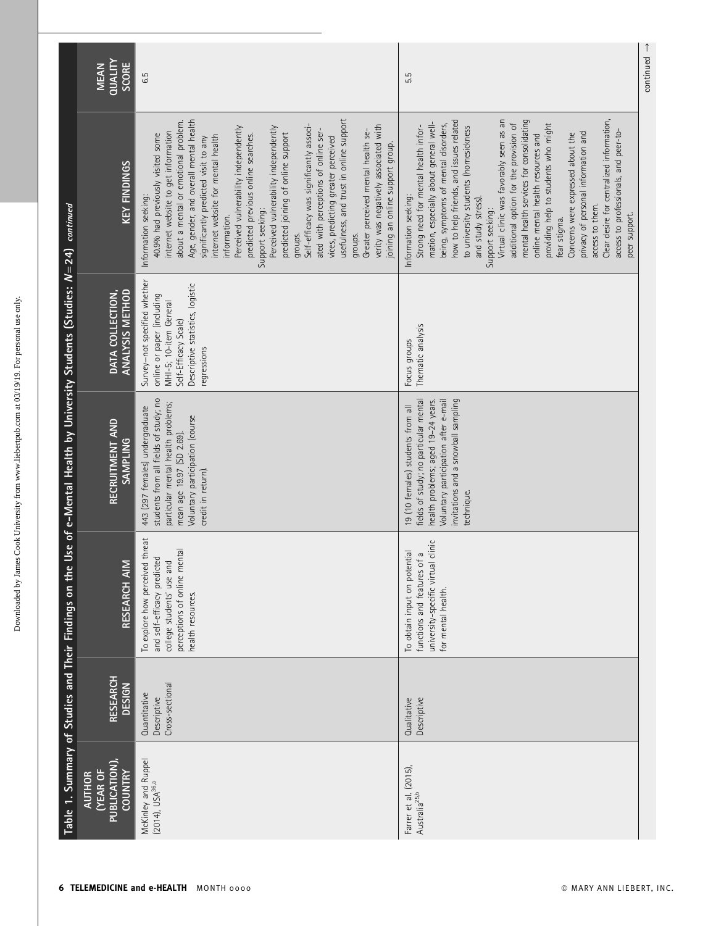|                                                                                                                               | QUALITY<br>SCORE<br><b>MEAN</b>                             | 6.5                                                                                                                                                                                                                                                                                                                                                                                                                                                                                                                                                                                                                                                                                                                                                                                 | 5.5                                                                                                                                                                                                                                                                                                                                                                                                                                                                                                                                                                                                                                                                                                              |
|-------------------------------------------------------------------------------------------------------------------------------|-------------------------------------------------------------|-------------------------------------------------------------------------------------------------------------------------------------------------------------------------------------------------------------------------------------------------------------------------------------------------------------------------------------------------------------------------------------------------------------------------------------------------------------------------------------------------------------------------------------------------------------------------------------------------------------------------------------------------------------------------------------------------------------------------------------------------------------------------------------|------------------------------------------------------------------------------------------------------------------------------------------------------------------------------------------------------------------------------------------------------------------------------------------------------------------------------------------------------------------------------------------------------------------------------------------------------------------------------------------------------------------------------------------------------------------------------------------------------------------------------------------------------------------------------------------------------------------|
|                                                                                                                               | <b>KEY FINDINGS</b>                                         | usefulness, and trust in online support<br>Age, gender, and overall mental health<br>about a mental or emotional problem.<br>Self-efficacy was significantly associ-<br>verity was negatively associated with<br>Perceived vulnerability independently<br>Perceived vulnerability independently<br>ated with perceptions of online ser-<br>Greater perceived mental health se-<br>internet website to get information<br>predicted joining of online support<br>40.9% had previously visited some<br>predicted previous online searches.<br>internet website for mental health<br>vices, predicting greater perceived<br>significantly predicted visit to any<br>joining an online support group.<br>Information seeking:<br>Support seeking:<br>information.<br>groups.<br>groups. | how to help friends, and issues related<br>mental health services for consolidating<br>Clear desire for centralized information,<br>Virtual clinic was favorably seen as an<br>mation, especially about general well-<br>additional option for the provision of<br>being, symptoms of mental disorders,<br>providing help to students who might<br>Strong need for mental health infor-<br>to university students (homesickness<br>access to professionals, and peer-to-<br>privacy of personal information and<br>online mental health resources and<br>Concerns were expressed about the<br>Information seeking:<br>and study stress).<br>access to them.<br>Support seeking:<br>peer support.<br>fear stigma. |
|                                                                                                                               | <b>ANALYSIS METHOD</b><br>DATA COLLECTION,                  | Survey-not specified whether<br>Descriptive statistics, logistic<br>online or paper (including<br>MHI-5; 10-item General<br>Self-Efficacy Scale)<br>regressions                                                                                                                                                                                                                                                                                                                                                                                                                                                                                                                                                                                                                     | Thematic analysis<br>Focus groups                                                                                                                                                                                                                                                                                                                                                                                                                                                                                                                                                                                                                                                                                |
| Table 1. Summary of Studies and Their Findings on the Use of e-Mental Health by University Students (Studies: N=24) continued | RECRUITMENT AND<br><b>SAMPLING</b>                          | students from all fields of study; no<br>particular mental health problems;<br>443 (297 females) undergraduate<br>Voluntary participation (course<br>mean age 19.97 (SD 2.69).<br>credit in return).                                                                                                                                                                                                                                                                                                                                                                                                                                                                                                                                                                                | invitations and a snowball sampling<br>health problems; aged 19-24 years.<br>Voluntary participation after e-mail<br>fields of study; no particular mental<br>19 (10 females) students from all<br>technique.                                                                                                                                                                                                                                                                                                                                                                                                                                                                                                    |
|                                                                                                                               | <b>RESEARCH AIM</b>                                         | To explore how perceived threat<br>perceptions of online mental<br>and self-efficacy predicted<br>college students' use and<br>health resources.                                                                                                                                                                                                                                                                                                                                                                                                                                                                                                                                                                                                                                    | university-specific virtual clinic<br>To obtain input on potential<br>functions and features of a<br>for mental health.                                                                                                                                                                                                                                                                                                                                                                                                                                                                                                                                                                                          |
|                                                                                                                               | <b>RESEARCH</b><br><b>DESIGN</b>                            | Cross-sectional<br>Quantitative<br>Descriptive                                                                                                                                                                                                                                                                                                                                                                                                                                                                                                                                                                                                                                                                                                                                      | Descriptive<br>Qualitative                                                                                                                                                                                                                                                                                                                                                                                                                                                                                                                                                                                                                                                                                       |
|                                                                                                                               | <b>PUBLICATION)</b><br>(YEAR OF<br><b>COUNTRY</b><br>AUTHOR | McKinley and Ruppel<br>(2014), USA <sup>36,a</sup>                                                                                                                                                                                                                                                                                                                                                                                                                                                                                                                                                                                                                                                                                                                                  | Farrer et al. (2015),<br>Australia <sup>25,b</sup>                                                                                                                                                                                                                                                                                                                                                                                                                                                                                                                                                                                                                                                               |

continued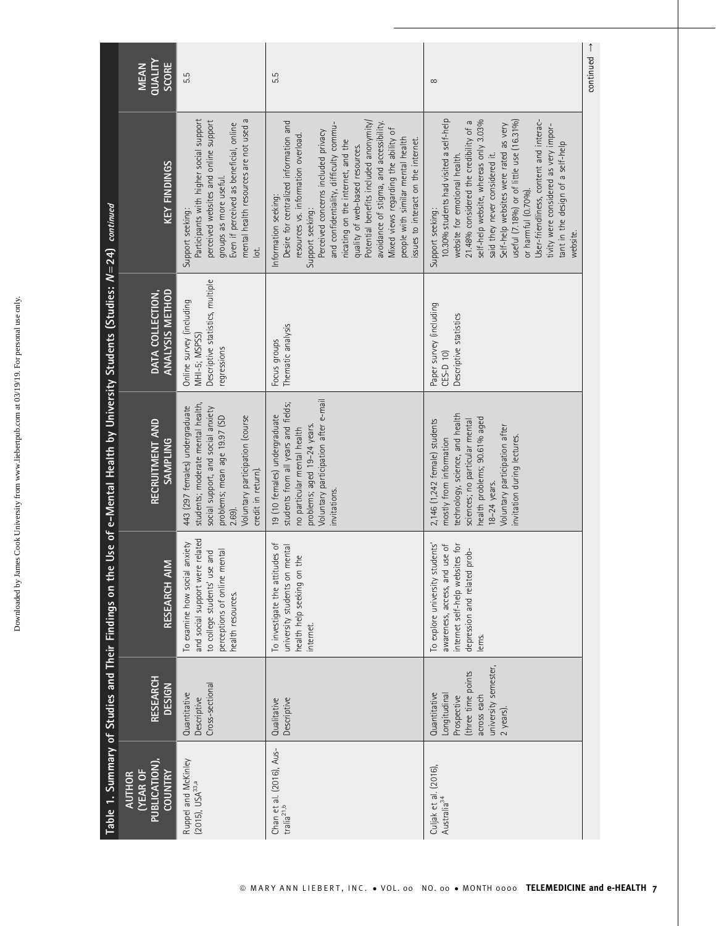| 5<br>י<br>י<br>j<br>ļ<br>ì<br>ı                                                                                                                                                                                                         |
|-----------------------------------------------------------------------------------------------------------------------------------------------------------------------------------------------------------------------------------------|
| l<br>I                                                                                                                                                                                                                                  |
|                                                                                                                                                                                                                                         |
| is a contract of the contract of the contract of the contract of the contract of the contract of the contract of the contract of the contract of the contract of the contract of the contract of the contract of the contract<br>l<br>ļ |

|                                                                            | QUALITY<br>SCORE<br><b>MEAN</b>                              | 5.5                                                                                                                                                                                                                                   | 5.5                                                                                                                                                                                                                                                                                                                                                                                                                                                                                         | $\infty$                                                                                                                                                                                                                                                                                                                                                                                                                                                          | $continued \rightarrow$ |
|----------------------------------------------------------------------------|--------------------------------------------------------------|---------------------------------------------------------------------------------------------------------------------------------------------------------------------------------------------------------------------------------------|---------------------------------------------------------------------------------------------------------------------------------------------------------------------------------------------------------------------------------------------------------------------------------------------------------------------------------------------------------------------------------------------------------------------------------------------------------------------------------------------|-------------------------------------------------------------------------------------------------------------------------------------------------------------------------------------------------------------------------------------------------------------------------------------------------------------------------------------------------------------------------------------------------------------------------------------------------------------------|-------------------------|
|                                                                            | KEY FINDINGS                                                 | Participants with higher social support<br>mental health resources are not used a<br>perceived websites and online support<br>Even if perceived as beneficial, online<br>groups as more useful.<br>Support seeking:<br>$\overline{a}$ | Potential benefits included anonymity/<br>Desire for centralized information and<br>avoidance of stigma, and accessibility.<br>and confidentiality, difficulty commu-<br>Mixed views regarding the ability of<br>Perceived concerns included privacy<br>resources vs. information overload.<br>people with similar mental health<br>issues to interact on the internet.<br>nicating on the internet, and the<br>quality of web-based resources.<br>Information seeking:<br>Support seeking: | 10.30% students had visited a self-help<br>User-friendliness, content and interac-<br>self-help website, whereas only 3.03%<br>useful (7.18%) or of little use (16.31%)<br>21.48% considered the credibility of a<br>Self-help websites were rated as very<br>tivity were considered as very impor-<br>tant in the design of a self-help<br>said they never considered it.<br>website for emotional health.<br>or harmful (0.70%).<br>Support seeking:<br>website |                         |
|                                                                            | <b>ANALYSIS METHOD</b><br>DATA COLLECTION,                   | Descriptive statistics, multiple<br>Online survey (including<br>MHI-5; MSPSS)<br>regressions                                                                                                                                          | Thematic analysis<br>Focus groups                                                                                                                                                                                                                                                                                                                                                                                                                                                           | Paper survey (including<br>Descriptive statistics<br>CES-D 10)                                                                                                                                                                                                                                                                                                                                                                                                    |                         |
| Use of e-Mental Health by University Students (Studies: $N=24$ ) continued | RECRUITMENT AND<br><b>SAMPLING</b>                           | students; moderate mental health,<br>443 (297 females) undergraduate<br>social support, and social anxiety<br>problems; mean age 19.97 (SD<br>Voluntary participation (course<br>credit in return).<br>2.69).                         | Voluntary participation after e-mail<br>students from all years and fields;<br>19 (10 females) undergraduate<br>problems; aged 19-24 years.<br>no particular mental health<br>invitations.                                                                                                                                                                                                                                                                                                  | technology, science, and health<br>health problems; 90.61% aged<br>2,146 (1,242 female) students<br>sciences; no particular mental<br>Voluntary participation after<br>invitation during lectures.<br>mostly from information<br>18-24 years.                                                                                                                                                                                                                     |                         |
| Table 1. Summary of Studies and Their Findings on the                      | <b>RESEARCH AIM</b>                                          | and social support were related<br>To examine how social anxiety<br>perceptions of online mental<br>to college students' use and<br>health resources.                                                                                 | To investigate the attitudes of<br>university students on mental<br>health help seeking on the<br>internet.                                                                                                                                                                                                                                                                                                                                                                                 | To explore university students'<br>use of<br>internet self-help websites for<br>prob-<br>depression and related<br>awareness, access, and<br>ems.                                                                                                                                                                                                                                                                                                                 |                         |
|                                                                            | <b>RESEARCH</b><br><b>DESIGN</b>                             | Cross-sectional<br>Quantitative<br>Descriptive                                                                                                                                                                                        | Descriptive<br>Qualitative                                                                                                                                                                                                                                                                                                                                                                                                                                                                  | university semester,<br>(three time points<br>Quantitative<br>Longitudinal<br>across each<br>Prospective<br>2 years).                                                                                                                                                                                                                                                                                                                                             |                         |
|                                                                            | PUBLICATION),<br>(YEAR OF<br><b>COUNTRY</b><br><b>AUTHOR</b> | Ruppel and McKinley<br>(2015), USA <sup>33,a</sup>                                                                                                                                                                                    | Chan et al. (2016), Aus-<br>tralia <sup>21,b</sup>                                                                                                                                                                                                                                                                                                                                                                                                                                          | Culjak et al. (2016),<br>Australia <sup>34</sup>                                                                                                                                                                                                                                                                                                                                                                                                                  |                         |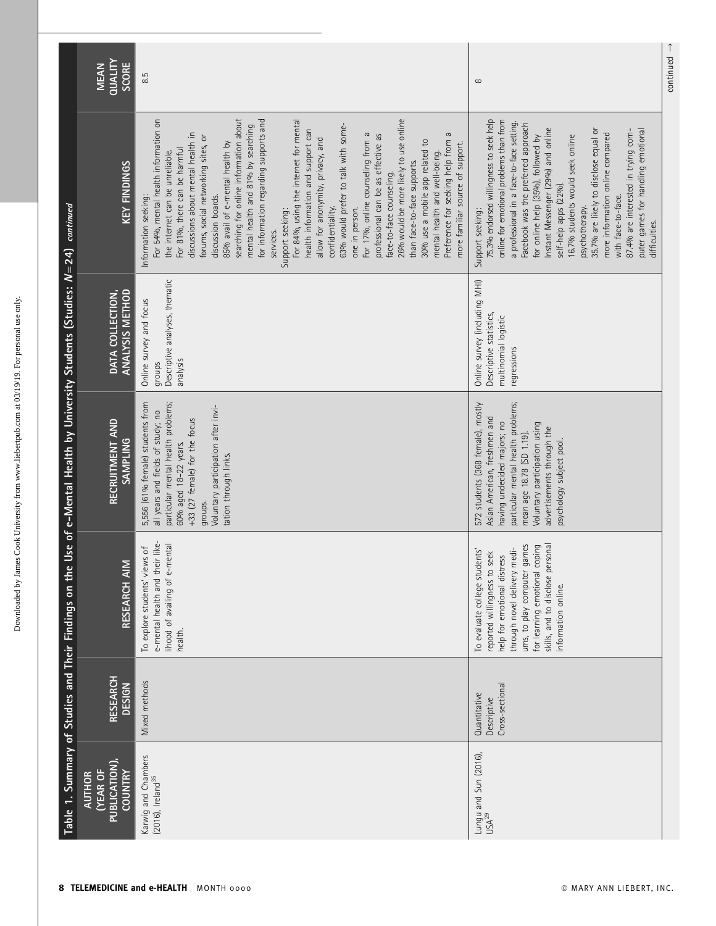|                                                                               | <b>QUALITY</b><br><b>SCORE</b><br><b>MEAN</b>               | 8.5                                                                                                                                                                                                                                                                                                                                                                                                                                                                                                                                                                                                                                                                                                                                                                                                                                                                                                                                                                    | $\infty$                                                                                                                                                                                                                                                                                                                                                                                                                                                                                                                                               | continued |
|-------------------------------------------------------------------------------|-------------------------------------------------------------|------------------------------------------------------------------------------------------------------------------------------------------------------------------------------------------------------------------------------------------------------------------------------------------------------------------------------------------------------------------------------------------------------------------------------------------------------------------------------------------------------------------------------------------------------------------------------------------------------------------------------------------------------------------------------------------------------------------------------------------------------------------------------------------------------------------------------------------------------------------------------------------------------------------------------------------------------------------------|--------------------------------------------------------------------------------------------------------------------------------------------------------------------------------------------------------------------------------------------------------------------------------------------------------------------------------------------------------------------------------------------------------------------------------------------------------------------------------------------------------------------------------------------------------|-----------|
|                                                                               | <b>KEY FINDINGS</b>                                         | searching for online information about<br>For 54%, mental health information on<br>For 84%, using the internet for mental<br>26% would be more likely to use online<br>for information regarding supports and<br>63% would prefer to talk with some-<br>mental health and 81% by searching<br>health information and support can<br>discussions about mental health in<br>For 17%, online counseling from a<br>G<br>professional can be as effective as<br>forums, social networking sites, or<br>allow for anonymity, privacy, and<br>Preference for seeking help from<br>30% use a mobile app related to<br>more familiar source of support.<br>85% avail of e-mental health by<br>For 81%, there can be harmful<br>the internet can be unreliable.<br>mental health and well-being.<br>than face-to-face supports.<br>face-to-face counseling.<br>discussion boards.<br>Information seeking:<br>confidentiality.<br>one in person.<br>Support seeking:<br>services. | 75.3% endorsed willingness to seek help<br>online for emotional problems than from<br>a professional in a face-to-face setting.<br>Facebook was the preferred approach<br>Instant Messenger (29%) and online<br>35.7% are likely to disclose equal or<br>puter games for handling emotional<br>87.4% are interested in trying com-<br>more information online compared<br>for online help (35%), followed by<br>16.7% students would seek online<br>self-help apps (22%).<br>with face-to-face.<br>psychotherapy.<br>Support seeking:<br>difficulties. |           |
|                                                                               | <b>ANALYSIS METHOD</b><br>DATA COLLECTION,                  | Descriptive analyses, thematic<br>Online survey and focus<br>analysis<br>groups                                                                                                                                                                                                                                                                                                                                                                                                                                                                                                                                                                                                                                                                                                                                                                                                                                                                                        | Online survey (including MHI)<br>Descriptive statistics,<br>multinomial logistic<br>regressions                                                                                                                                                                                                                                                                                                                                                                                                                                                        |           |
| ie Use of e-Mental Health by University Students (Studies: $N=24$ ) continued | RECRUITMENT AND<br><b>SAMPLING</b>                          | particular mental health problems;<br>5,556 (61% female) students from<br>Voluntary participation after invi-<br>all years and fields of study; no<br>+33 (27 female) for the focus<br>60% aged 18-22 years.<br>tation through links.<br>groups.                                                                                                                                                                                                                                                                                                                                                                                                                                                                                                                                                                                                                                                                                                                       | particular mental health problems;<br>572 students (368 female), mostly<br>Asian American, freshmen and<br>having undecided majors; no<br>Voluntary participation using<br>advertisements through the<br>mean age 18.78 (SD 1.19).<br>psychology subject pool.                                                                                                                                                                                                                                                                                         |           |
| Table 1. Summary of Studies and Their Findings on th                          | RESEARCH AIM                                                | e-mental health and their like-<br>lihood of availing of e-mental<br>To explore students' views of<br>health.                                                                                                                                                                                                                                                                                                                                                                                                                                                                                                                                                                                                                                                                                                                                                                                                                                                          | personal<br>r games<br>coping<br>through novel delivery medi-<br>To evaluate college students'<br>reported willingness to seek<br>help for emotional distress<br>ums, to play computer<br>for learning emotional<br>skills, and to disclose<br>information online.                                                                                                                                                                                                                                                                                     |           |
|                                                                               | <b>RESEARCH</b><br><b>DESIGN</b>                            | Mixed methods                                                                                                                                                                                                                                                                                                                                                                                                                                                                                                                                                                                                                                                                                                                                                                                                                                                                                                                                                          | Cross-sectional<br>Quantitative<br>Descriptive                                                                                                                                                                                                                                                                                                                                                                                                                                                                                                         |           |
|                                                                               | PUBLICATION)<br><b>CYEAR OF</b><br><b>COUNTRY</b><br>AUTHOR | Karwig and Chambers<br>(2016), Ireland <sup>35</sup>                                                                                                                                                                                                                                                                                                                                                                                                                                                                                                                                                                                                                                                                                                                                                                                                                                                                                                                   | Lungu and Sun (2016),<br>USA <sup>29</sup>                                                                                                                                                                                                                                                                                                                                                                                                                                                                                                             |           |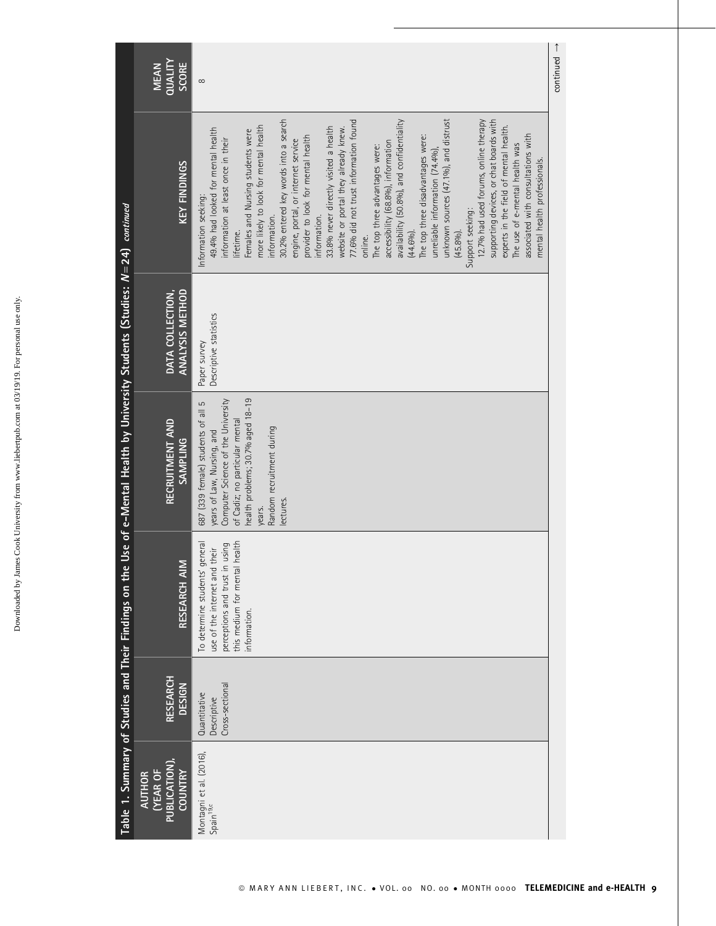| í            |
|--------------|
| ś            |
| ļ<br>ı       |
|              |
| l            |
|              |
|              |
|              |
|              |
| i            |
|              |
| l            |
|              |
|              |
|              |
| l            |
|              |
|              |
|              |
|              |
|              |
|              |
|              |
|              |
| í            |
| l            |
|              |
| ׇׅ֠          |
|              |
| ֖֖֖֚֚֚֚֚֚֬   |
|              |
|              |
|              |
|              |
|              |
|              |
|              |
|              |
|              |
| ï            |
|              |
|              |
|              |
|              |
| d            |
|              |
| <b>DOW/D</b> |
|              |
| ١<br>ļ       |

|                                                                              | QUALITY<br>SCORE<br><b>MEAN</b>                                          | $\infty$                                                                                                                                                                                                                                                                                                                                                                                                                                                                                                                                                                                                                                                                                                                                                                                                                                                                                                                                                                                                        | $\overline{\phantom{a}}$ $\rightarrow$ |
|------------------------------------------------------------------------------|--------------------------------------------------------------------------|-----------------------------------------------------------------------------------------------------------------------------------------------------------------------------------------------------------------------------------------------------------------------------------------------------------------------------------------------------------------------------------------------------------------------------------------------------------------------------------------------------------------------------------------------------------------------------------------------------------------------------------------------------------------------------------------------------------------------------------------------------------------------------------------------------------------------------------------------------------------------------------------------------------------------------------------------------------------------------------------------------------------|----------------------------------------|
|                                                                              | <b>KEY FINDINGS</b>                                                      | 30.2% entered key words into a search<br>77.6% did not trust information found<br>unknown sources (47.1%), and distrust<br>availability (50.8%), and confidentiality<br>12.7% had used forums, online therapy<br>supporting devices, or chat boards with<br>more likely to look for mental health<br>experts in the field of mental health.<br>33.8% never directly visited a health<br>website or portal they already knew.<br>49.4% had looked for mental health<br>Females and Nursing students were<br>associated with consultations with<br>The top three disadvantages were:<br>provider to look for mental health<br>information at least once in their<br>engine, portal, or internet service<br>accessibility (68.8%), information<br>The use of e-mental health was<br>The top three advantages were:<br>unreliable information (74.4%)<br>mental health professionals.<br>Information seeking:<br>Support seeking:<br>information.<br>information.<br>lifetime.<br>$(44.6%)$ .<br>(45.8%)<br>online. |                                        |
|                                                                              | ANALYSIS METHOD<br>DATA COLLECTION,                                      | Descriptive statistics<br>Paper survey                                                                                                                                                                                                                                                                                                                                                                                                                                                                                                                                                                                                                                                                                                                                                                                                                                                                                                                                                                          |                                        |
| e Use of e-Mental Health by University Students (Studies: $N=24$ ) continued | RECRUITMENT AND<br><b>SAMPLING</b>                                       | health problems; 30.7% aged 18-19<br>Computer Science of the University<br>687 (339 female) students of all 5<br>of Cadiz; no particular mental<br>Random recruitment during<br>years of Law, Nursing, and<br>lectures<br>years.                                                                                                                                                                                                                                                                                                                                                                                                                                                                                                                                                                                                                                                                                                                                                                                |                                        |
|                                                                              | RESEARCH AIM                                                             | this medium for mental health<br>general<br>perceptions and trust in using<br>use of the internet and their<br>To determine students'<br>information.                                                                                                                                                                                                                                                                                                                                                                                                                                                                                                                                                                                                                                                                                                                                                                                                                                                           |                                        |
|                                                                              | RESEARCH<br><b>DESIGN</b>                                                | Cross-sectional<br>Quantitative<br>Descriptive                                                                                                                                                                                                                                                                                                                                                                                                                                                                                                                                                                                                                                                                                                                                                                                                                                                                                                                                                                  |                                        |
| Table 1. Summary of Studies and Their Findings on th                         | <b>PUBLICATION</b><br><b>COUNTRY</b><br><b>TYEAR OF</b><br><b>AUTHOR</b> | Montagni et al. (2016),<br>Spain <sup>19,c</sup>                                                                                                                                                                                                                                                                                                                                                                                                                                                                                                                                                                                                                                                                                                                                                                                                                                                                                                                                                                |                                        |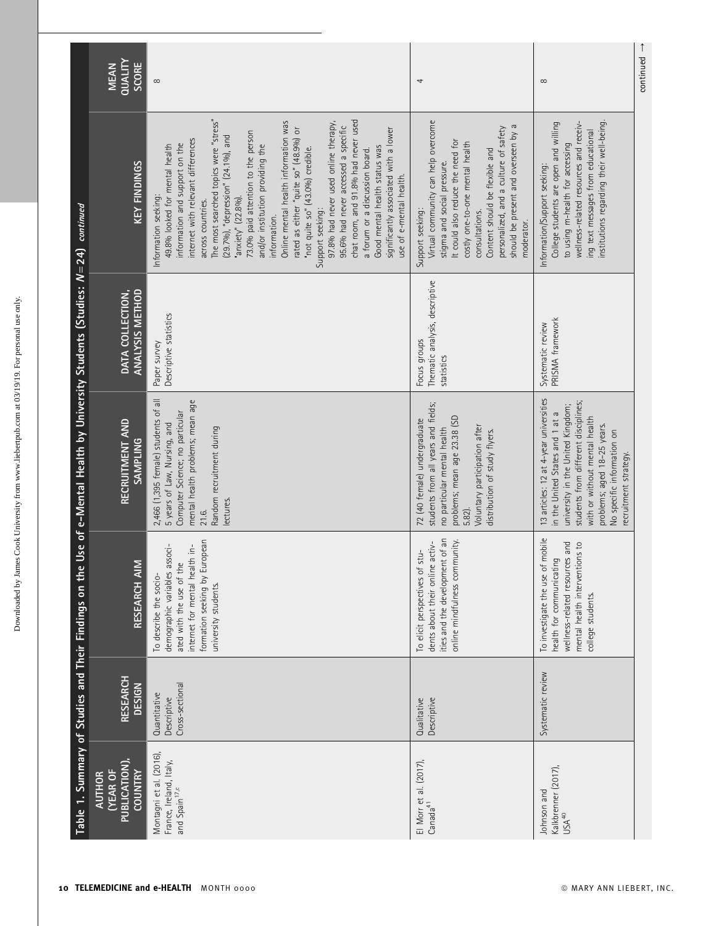|                                                                  | QUALITY<br><b>SCORE</b><br><b>MEAN</b>                            | ${}^{\circ}$                                                                                                                                                                                                                                                                                                                                                                                                                                                                                                                                                                                                                                                                                                                                              | 4                                                                                                                                                                                                                                                                                                                | $\infty$                                                                                                                                                                                                                                                                      | continued |
|------------------------------------------------------------------|-------------------------------------------------------------------|-----------------------------------------------------------------------------------------------------------------------------------------------------------------------------------------------------------------------------------------------------------------------------------------------------------------------------------------------------------------------------------------------------------------------------------------------------------------------------------------------------------------------------------------------------------------------------------------------------------------------------------------------------------------------------------------------------------------------------------------------------------|------------------------------------------------------------------------------------------------------------------------------------------------------------------------------------------------------------------------------------------------------------------------------------------------------------------|-------------------------------------------------------------------------------------------------------------------------------------------------------------------------------------------------------------------------------------------------------------------------------|-----------|
| continued                                                        | KEY FINDINGS                                                      | The most searched topics were "stress"<br>chat room, and 91.8% had never used<br>Online mental health information was<br>97.8% had never used online therapy,<br>95.6% had never accessed a specific<br>rated as either "quite so" (48.9%) or<br>significantly associated with a lower<br>73.0% paid attention to the person<br>(29.7%), "depression" (24.1%), and<br>internet with relevant differences<br>information and support on the<br>49.8% looked for mental health<br>and/or institution providing the<br>Good mental health status was<br>"not quite so" (43.0%) credible.<br>a forum or a discussion board.<br>use of e-mental health.<br>Information seeking:<br>"anxiety" (22.8%).<br>across countries.<br>Support seeking:<br>information. | Virtual community can help overcome<br>should be present and overseen by a<br>personalized, and a culture of safety<br>It could also reduce the need for<br>costly one-to-one mental health<br>Content should be flexible and<br>stigma and social pressure.<br>Support seeking:<br>consultations.<br>moderator. | institutions regarding their well-being.<br>wellness-related resources and receiv-<br>College students are open and willing<br>ing text messages from educational<br>to using m-health for accessing<br>Information/Support seeking:                                          |           |
|                                                                  | <b>ANALYSIS METHOD</b><br>DATA COLLECTION,                        | Descriptive statistics<br>Paper survey                                                                                                                                                                                                                                                                                                                                                                                                                                                                                                                                                                                                                                                                                                                    | Thematic analysis, descriptive<br>Focus groups<br>statistics                                                                                                                                                                                                                                                     | PRISMA framework<br>Systematic review                                                                                                                                                                                                                                         |           |
| Use of e-Mental Health by University Students (Studies: $N=24$ ) | RECRUITMENT AND<br><b>SAMPLING</b>                                | 2,466 (1,395 female) students of all<br>mental health problems; mean age<br>Computer Science; no particular<br>5 years of Law, Nursing, and<br>Random recruitment during<br>lectures<br>21.6.                                                                                                                                                                                                                                                                                                                                                                                                                                                                                                                                                             | students from all years and fields;<br>problems; mean age 23.38 (SD<br>72 (40 female) undergraduate<br>Voluntary participation after<br>no particular mental health<br>distribution of study flyers.<br>5.82).                                                                                                   | 13 articles: 12 at 4-year universities<br>students from different disciplines;<br>university in the United Kingdom;<br>in the United States and 1 at a<br>with or without mental health<br>problems; aged 18-25 years.<br>No specific information on<br>recruitment strategy. |           |
| Table 1. Summary of Studies and Their Findings on the            | RESEARCH AIM                                                      | formation seeking by European<br>demographic variables associ-<br>internet for mental health in-<br>ated with the use of the<br>To describe the socio-<br>university students.                                                                                                                                                                                                                                                                                                                                                                                                                                                                                                                                                                            | ities and the development of an<br>online mindfulness community.<br>activ-<br>To elicit perspectives of stu-<br>dents about their online                                                                                                                                                                         | mobile<br>wellness-related resources and<br>mental health interventions to<br>health for communicating<br>To investigate the use of<br>college students.                                                                                                                      |           |
|                                                                  | RESEARCH<br><b>DESIGN</b>                                         | Cross-sectional<br>Quantitative<br>Descriptive                                                                                                                                                                                                                                                                                                                                                                                                                                                                                                                                                                                                                                                                                                            | Descriptive<br>Qualitative                                                                                                                                                                                                                                                                                       | Systematic review                                                                                                                                                                                                                                                             |           |
|                                                                  | PUBLICATION)<br><b>YEAR OF</b><br><b>COUNTRY</b><br><b>AUTHOR</b> | Montagni et al. (2016),<br>France, Ireland, Italy,<br>and Spain <sup>17,c</sup>                                                                                                                                                                                                                                                                                                                                                                                                                                                                                                                                                                                                                                                                           | El Morr et al. (2017),<br>Canada <sup>41</sup>                                                                                                                                                                                                                                                                   | Kalkbrenner (2017),<br>Johnson and<br>USA <sup>40</sup>                                                                                                                                                                                                                       |           |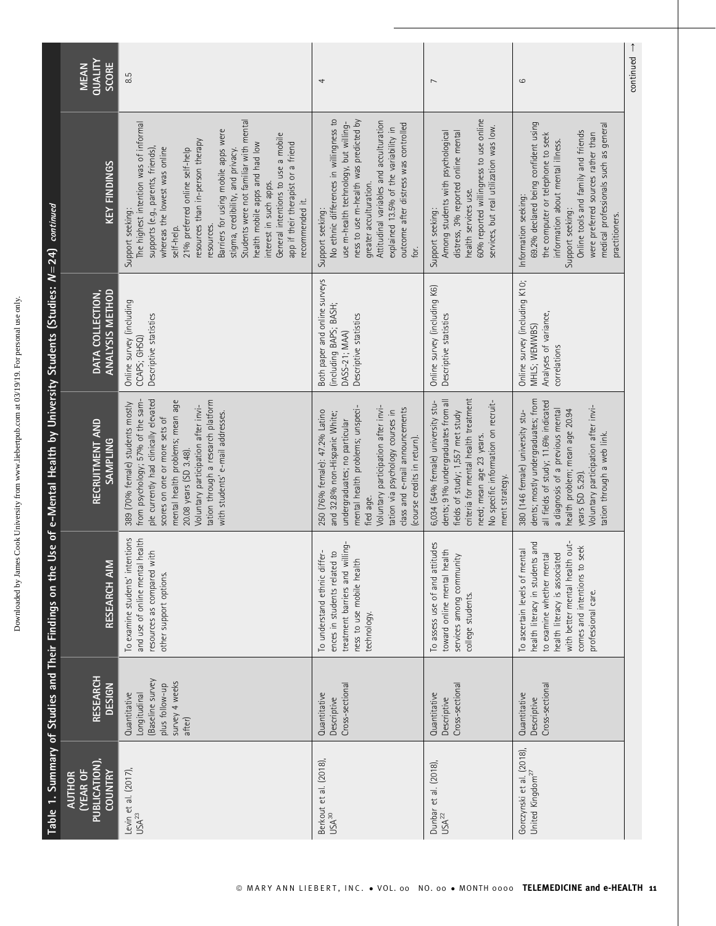|                                                                           | <b>QUALITY</b><br><b>SCORE</b><br><b>MEAN</b>                      | 8.5                                                                                                                                                                                                                                                                                                                                                                                                                                                                                                                 | 4                                                                                                                                                                                                                                                                                                            | $\overline{ }$                                                                                                                                                                                                                            | 6                                                                                                                                                                                                                                                                                                  | $continued \rightarrow$ |
|---------------------------------------------------------------------------|--------------------------------------------------------------------|---------------------------------------------------------------------------------------------------------------------------------------------------------------------------------------------------------------------------------------------------------------------------------------------------------------------------------------------------------------------------------------------------------------------------------------------------------------------------------------------------------------------|--------------------------------------------------------------------------------------------------------------------------------------------------------------------------------------------------------------------------------------------------------------------------------------------------------------|-------------------------------------------------------------------------------------------------------------------------------------------------------------------------------------------------------------------------------------------|----------------------------------------------------------------------------------------------------------------------------------------------------------------------------------------------------------------------------------------------------------------------------------------------------|-------------------------|
|                                                                           | <b>KEY FINDINGS</b>                                                | Students were not familiar with mental<br>The highest intention was of informal<br>Barriers for using mobile apps were<br>General intentions to use a mobile<br>resources than in-person therapy<br>app if their therapist or a friend<br>health mobile apps and had low<br>supports (e.g., parents, friends),<br>whereas the lowest was online<br>stigma, credibility, and privacy.<br>21% preferred online self-help<br>interest in such apps.<br>recommended it.<br>Support seeking:<br>resources.<br>self-help. | ness to use m-health was predicted by<br>No ethnic differences in willingness to<br>Attitudinal variables and acculturation<br>use m-health technology, but willing-<br>outcome after distress was controlled<br>explained 13.5% of the variability in<br>greater acculturation.<br>Support seeking:<br>for. | 60% reported willingness to use online<br>services, but real utilization was low.<br>distress, 3% reported online mental<br>Among students with psychological<br>health services use.<br>Support seeking:                                 | 69.2% declared being confident using<br>medical professionals such as general<br>Online tools and family and friends<br>were preferred sources rather than<br>the computer or telephone to seek<br>information about mental illness.<br>Information seeking:<br>Support seeking:<br>practitioners. |                         |
|                                                                           | DATA COLLECTION,<br><b>ANALYSIS METHOD</b>                         | Online survey (including<br>Descriptive statistics<br>CCAPS; GHSQ)                                                                                                                                                                                                                                                                                                                                                                                                                                                  | Both paper and online surveys<br>(including BAPS; BASH;<br>Descriptive statistics<br>DASS-21; MAA)                                                                                                                                                                                                           | Online survey (including K6)<br>Descriptive statistics                                                                                                                                                                                    | Online survey (including K10;<br>Analyses of variance,<br>MHLS; WEMWBS)<br>correlations                                                                                                                                                                                                            |                         |
| e Use of e-Mental Health by University Students (Studies: N=24) continued | RECRUITMENT AND<br><b>SAMPLING</b>                                 | ple currently had clinically elevated<br>tation through a research platform<br>mental health problems; mean age<br>from psychology; 57% of the sam-<br>389 (70% female) students mostly<br>Voluntary participation after invi-<br>with students' e-mail addresses.<br>scores on one or more sets of<br>20.08 years (SD 3.48).                                                                                                                                                                                       | Voluntary participation after invi-<br>mental health problems; unspeci-<br>class and e-mail announcements<br>tation via psychology courses in<br>250 (76% female): 47.2% Latino<br>and 32.8% non-Hispanic White;<br>undergraduates; no particular<br>(course credits in return).<br>fied age.                | criteria for mental health treatment<br>dents; 91% undergraduates from all<br>6,034 (54% female) university stu-<br>No specific information on recruit-<br>fields of study; 1,557 met study<br>need; mean age 23 years.<br>ment strategy. | dents; mostly undergraduates; from<br>all fields of study; 11.6% indicated<br>Voluntary participation after invi-<br>a diagnosis of a previous mental<br>health problem; mean age 20.94<br>380 (146 female) university stu-<br>tation through a web link.<br>years (SD 5.29).                      |                         |
| Table 1. Summary of Studies and Their Findings on th                      | $\geq$<br><b>RESEARCH A</b>                                        | ntentions<br>and use of online mental health<br>with<br>resources as compared<br>other support options.<br>To examine students' i                                                                                                                                                                                                                                                                                                                                                                                   | treatment barriers and willing-<br>ences in students related to<br>To understand ethnic differ-<br>ness to use mobile health<br>technology.                                                                                                                                                                  | To assess use of and attitudes<br>health<br>services among community<br>toward online mental<br>college students.                                                                                                                         | with better mental health out-<br>health literacy in students and<br>to seek<br>To ascertain levels of mental<br>health literacy is associated<br>to examine whether mental<br>comes and intentions<br>professional care.                                                                          |                         |
|                                                                           | <b>RESEARCH</b><br><b>DESIGN</b>                                   | (Baseline survey<br>survey 4 weeks<br>plus follow-up<br>Quantitative<br>Longitudinal<br>after)                                                                                                                                                                                                                                                                                                                                                                                                                      | Cross-sectiona<br>Quantitative<br>Descriptive                                                                                                                                                                                                                                                                | Cross-sectional<br>Quantitative<br>Descriptive                                                                                                                                                                                            | Cross-sectiona<br>Quantitative<br>Descriptive                                                                                                                                                                                                                                                      |                         |
|                                                                           | PUBLICATION)<br><b>(YEAR OF</b><br><b>COUNTRY</b><br><b>AUTHOR</b> | Levin et al. (2017),<br>USA <sup>23</sup>                                                                                                                                                                                                                                                                                                                                                                                                                                                                           | Berkout et al. (2018),<br>USA <sup>30</sup>                                                                                                                                                                                                                                                                  | Dunbar et al. (2018),<br>USA <sup>22</sup>                                                                                                                                                                                                | Gorczynski et al. (2018),<br>United Kingdom <sup>27</sup>                                                                                                                                                                                                                                          |                         |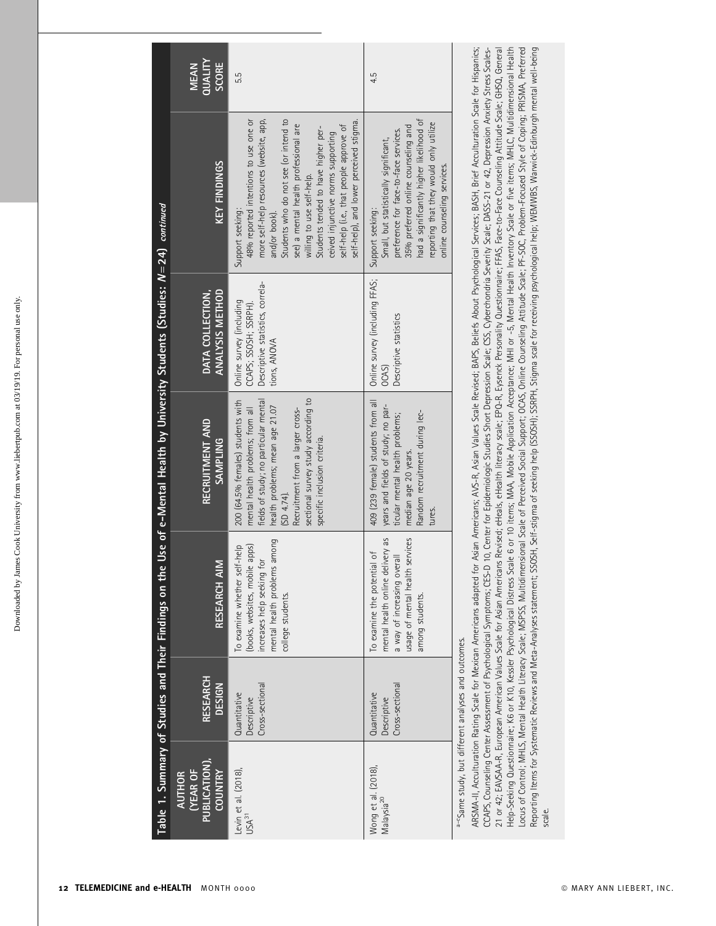| ֦֦֧֦֦֧֦֧֧֧֦֧֧֦֧֦֧֦֧֦֧֦֧֦֧֦֧֦֧֦֧֧֧֧֧֧֦֧֛֧֦֧֛֪֧֛֪֛֛֛֛֛֛֛֛֚֚֚֚֚֚֚֚֬֝֝֬֝֝֓֕֓֕֝֓֕֝֬֝֓֝֬֝֓֝֬֝֬֝֬֜              |
|----------------------------------------------------------------------------------------------------------|
|                                                                                                          |
| ì                                                                                                        |
|                                                                                                          |
|                                                                                                          |
|                                                                                                          |
|                                                                                                          |
|                                                                                                          |
|                                                                                                          |
| l<br>í                                                                                                   |
|                                                                                                          |
| ļ<br>l                                                                                                   |
|                                                                                                          |
| I<br>l                                                                                                   |
|                                                                                                          |
| í                                                                                                        |
| ١                                                                                                        |
| 5<br>i                                                                                                   |
|                                                                                                          |
|                                                                                                          |
|                                                                                                          |
|                                                                                                          |
|                                                                                                          |
|                                                                                                          |
|                                                                                                          |
| l                                                                                                        |
| i<br>ł<br>í                                                                                              |
|                                                                                                          |
| l                                                                                                        |
|                                                                                                          |
|                                                                                                          |
|                                                                                                          |
|                                                                                                          |
|                                                                                                          |
| <b>Contract</b><br>֦֦֦֦֦֦֦֦֧֧֧֦֧֧֧֚֚֚֚֚֚֚֚֚֚֚֚֚֚֡֓֝֬֓֓֡֓֓֡֓֓֡֓֡֓֡֬֓֓֞֓֡֓֓֡֡֓֓֞֓֞֓֡֓֓֡֓֓֞֡֓֞֓֬֓֞֓֓֓֓֓֞֓֓֝ |
|                                                                                                          |
|                                                                                                          |
|                                                                                                          |
| ï                                                                                                        |
| Ì                                                                                                        |
|                                                                                                          |
| l                                                                                                        |
| ١                                                                                                        |
| l                                                                                                        |
| b                                                                                                        |
| j                                                                                                        |
| I<br>I                                                                                                   |
|                                                                                                          |
| ł                                                                                                        |
|                                                                                                          |
| I                                                                                                        |
|                                                                                                          |
| i                                                                                                        |
|                                                                                                          |
|                                                                                                          |
|                                                                                                          |
|                                                                                                          |
| ï                                                                                                        |
| l                                                                                                        |
|                                                                                                          |
|                                                                                                          |
| $\sim$<br>i<br>ļ                                                                                         |

|                                                                            | QUALITY<br>SCORE<br><b>MEAN</b>                                     | 5.5                                                                                                                                                                                                                                                                                                                                                                                                     | 4.5                                                                                                                                                                                                                                                            | CCAPS, Counseling Center Assessment of Psychological Symptoms; CES-D 10, Center for Epidemiologic Studies Short Depression Scale; CSS, Cyberchondria Severity Scale; DASS-21 or 42, Depression Anxiety Stress Scales- |
|----------------------------------------------------------------------------|---------------------------------------------------------------------|---------------------------------------------------------------------------------------------------------------------------------------------------------------------------------------------------------------------------------------------------------------------------------------------------------------------------------------------------------------------------------------------------------|----------------------------------------------------------------------------------------------------------------------------------------------------------------------------------------------------------------------------------------------------------------|-----------------------------------------------------------------------------------------------------------------------------------------------------------------------------------------------------------------------|
|                                                                            | <b>KEY FINDINGS</b>                                                 | more self-help resources (website, app,<br>Students who do not see (or intend to<br>48% reported intentions to use one or<br>self-help), and lower perceived stigma.<br>see) a mental health professional are<br>self-help (i.e., that people approve of<br>Students tended to have higher per-<br>ceived injunctive norms supporting<br>willing to use self-help.<br>Support seeking:<br>and/or book). | had a significantly higher likelihood of<br>reporting that they would only utilize<br>35% preferred online counseling and<br>preference for face-to-face services.<br>Small, but statistically significant,<br>online counseling services.<br>Support seeking: |                                                                                                                                                                                                                       |
|                                                                            | ANALYSIS METHOD<br>DATA COLLECTION,                                 | Descriptive statistics, correla-<br>Online survey (including<br>CCAPS; SSOSH; SSRPH).<br>tions, ANOVA                                                                                                                                                                                                                                                                                                   | Online survey (including FFAS;<br>Descriptive statistics<br>OCAS)                                                                                                                                                                                              |                                                                                                                                                                                                                       |
| Use of e-Mental Health by University Students (Studies: $N=24$ ) continued | RECRUITMENT AND<br><b>SAMPLING</b>                                  | sectional survey study according to<br>fields of study; no particular mental<br>200 (64.5% females) students with<br>health problems; mean age 21.07<br>mental health problems; from all<br>Recruitment from a larger cross-<br>specific inclusion criteria.<br>SD 4.74                                                                                                                                 | 409 (239 female) students from all<br>years and fields of study; no par-<br>Random recruitment during lec-<br>ticular mental health problems;<br>median age 20 years.<br>tures.                                                                                | Asian Americans; AVS-R, Asian Values Scale Revised; BAPS, Beliefs About Psychological Services; BASH, Brief Acculturation Scale for Hispanics;                                                                        |
| Table 1. Summary of Studies and Their Findings on the                      | RESEARCH AIM                                                        | among<br>(books, websites, mobile apps)<br>To examine whether self-help<br>increases help seeking for<br>mental health problems<br>college students.                                                                                                                                                                                                                                                    | mental health online delivery as<br>usage of mental health services<br>To examine the potential of<br>a way of increasing overall<br>among students.                                                                                                           | ARSMA-II, Acculturation Rating Scale for Mexican Americans adapted for                                                                                                                                                |
|                                                                            | <b>RESEARCH</b><br><b>DESIGN</b>                                    | Cross-sectional<br>Quantitative<br>Descriptive                                                                                                                                                                                                                                                                                                                                                          | Cross-sectional<br>Quantitative<br>Descriptive                                                                                                                                                                                                                 |                                                                                                                                                                                                                       |
|                                                                            | PUBLICATION),<br><b>COUNTRY</b><br><b>(YEAR OF</b><br><b>AUTHOR</b> | Levin et al. (2018),<br>USA <sup>31</sup>                                                                                                                                                                                                                                                                                                                                                               | Wong et al. (2018).<br>Malaysia <sup>20</sup>                                                                                                                                                                                                                  | a-CSame study, but different analyses and outcomes.                                                                                                                                                                   |

21 or 42; EN/SAA-R, European American Values Scale for Asian Americans Revised; eHealth literacy scale; EPQ-R, Eysenck Personality Questionnaire; FFAS, Face-to-Face Counseling Attitude Scale; GHSQ, General Help-Seeking Questiomaire; K6 or K10, Kessler Psychological Distress Scale 6 or 10 items; MAA, Mobile Application Acceptance; MHI or -5, Mental Health Inventoy Scale or five items; MHLC, Multidimensional Health<br>Locus of Co 21 or 42; EAVSAA-R, European American Values Scale for Asian Americans Revised; eHeals, eHealth literacy scale; EPQ-R, Eysenck Personality Questionnaire; FFAS, Face-to-Face Counseling Attitude Scale; GHSQ, General Help-Seeking Questionnaire; K6 or K10, Kessler Psychological Distress Scale 6 or 10 items; MAA, Mobile Application Acceptance; MHI or -5, Mental Health Inventory Scale or five items; MHLC, Multidimensional Health Locus of Control; MHLS, Mental Health Literacy Scale; MSPSS, Multidimensional Scale of Perceived Social Support; OCAS, Online Counseling Attitude Scale; PF-SOC, Problem-Focused Style of Coping; PRISMA, Preferred Reporting Items for Systematic Reviews and Meta-Analyses statement; SSOSH, Self-stigma of seeking help (SSOSH); SSRPH, Stigma scale for receiving psychological help; WEMWBS, Warwick-Edinburgh mental well-being scale.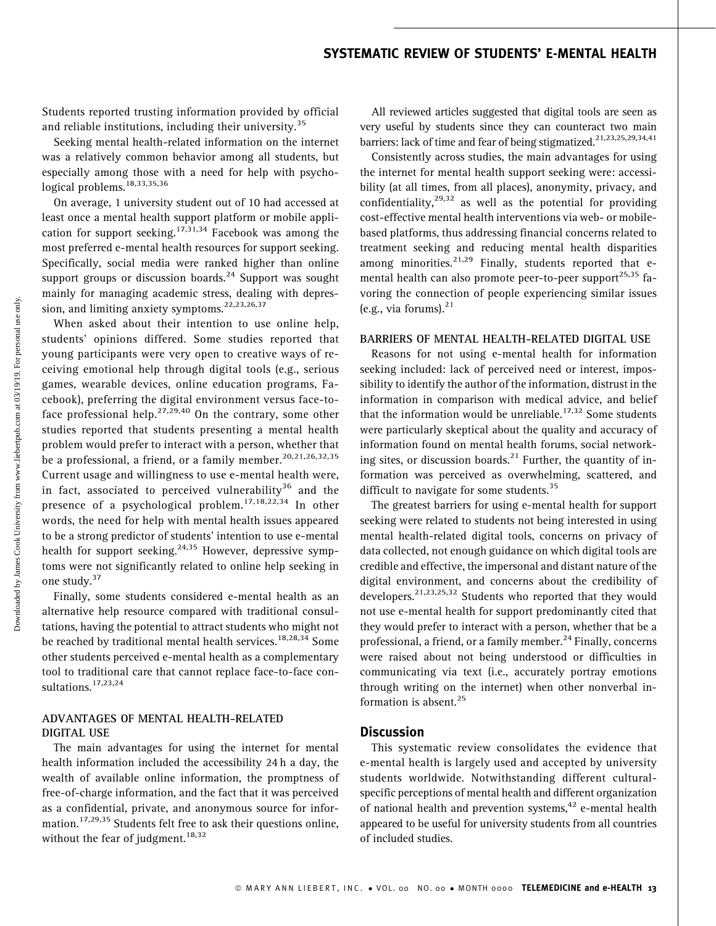# SYSTEMATIC REVIEW OF STUDENTS' E-MENTAL HEALTH

Students reported trusting information provided by official and reliable institutions, including their university.<sup>35</sup>

Seeking mental health-related information on the internet was a relatively common behavior among all students, but especially among those with a need for help with psychological problems.<sup>18,33,35,36</sup>

On average, 1 university student out of 10 had accessed at least once a mental health support platform or mobile application for support seeking.<sup>17,31,34</sup> Facebook was among the most preferred e-mental health resources for support seeking. Specifically, social media were ranked higher than online support groups or discussion boards. $^{24}$  Support was sought mainly for managing academic stress, dealing with depression, and limiting anxiety symptoms.  $22,23,26,37$ 

When asked about their intention to use online help, students' opinions differed. Some studies reported that young participants were very open to creative ways of receiving emotional help through digital tools (e.g., serious games, wearable devices, online education programs, Facebook), preferring the digital environment versus face-toface professional help.<sup>27,29,40</sup> On the contrary, some other studies reported that students presenting a mental health problem would prefer to interact with a person, whether that be a professional, a friend, or a family member.<sup>20,21,26,32,35</sup> Current usage and willingness to use e-mental health were, in fact, associated to perceived vulnerability<sup>36</sup> and the presence of a psychological problem.<sup>17,18,22,34</sup> In other words, the need for help with mental health issues appeared to be a strong predictor of students' intention to use e-mental health for support seeking.<sup>24,35</sup> However, depressive symptoms were not significantly related to online help seeking in one study.<sup>37</sup>

Finally, some students considered e-mental health as an alternative help resource compared with traditional consultations, having the potential to attract students who might not be reached by traditional mental health services.<sup>18,28,34</sup> Some other students perceived e-mental health as a complementary tool to traditional care that cannot replace face-to-face consultations.<sup>17,23,24</sup>

### ADVANTAGES OF MENTAL HEALTH-RELATED DIGITAL USE

The main advantages for using the internet for mental health information included the accessibility 24 h a day, the wealth of available online information, the promptness of free-of-charge information, and the fact that it was perceived as a confidential, private, and anonymous source for information.<sup>17,29,35</sup> Students felt free to ask their questions online, without the fear of judgment.<sup>18,32</sup>

All reviewed articles suggested that digital tools are seen as very useful by students since they can counteract two main barriers: lack of time and fear of being stigmatized.<sup>21,23,25,29,34,41</sup>

Consistently across studies, the main advantages for using the internet for mental health support seeking were: accessibility (at all times, from all places), anonymity, privacy, and confidentiality, $29,32$  as well as the potential for providing cost-effective mental health interventions via web- or mobilebased platforms, thus addressing financial concerns related to treatment seeking and reducing mental health disparities among minorities. $^{21,29}$  Finally, students reported that emental health can also promote peer-to-peer support<sup>25,35</sup> favoring the connection of people experiencing similar issues (e.g., via forums). $^{21}$ 

#### BARRIERS OF MENTAL HEALTH-RELATED DIGITAL USE

Reasons for not using e-mental health for information seeking included: lack of perceived need or interest, impossibility to identify the author of the information, distrust in the information in comparison with medical advice, and belief that the information would be unreliable.<sup>17,32</sup> Some students were particularly skeptical about the quality and accuracy of information found on mental health forums, social networking sites, or discussion boards. $^{21}$  Further, the quantity of information was perceived as overwhelming, scattered, and difficult to navigate for some students.<sup>35</sup>

The greatest barriers for using e-mental health for support seeking were related to students not being interested in using mental health-related digital tools, concerns on privacy of data collected, not enough guidance on which digital tools are credible and effective, the impersonal and distant nature of the digital environment, and concerns about the credibility of developers.<sup>21,23,25,32</sup> Students who reported that they would not use e-mental health for support predominantly cited that they would prefer to interact with a person, whether that be a professional, a friend, or a family member.<sup>24</sup> Finally, concerns were raised about not being understood or difficulties in communicating via text (i.e., accurately portray emotions through writing on the internet) when other nonverbal information is absent.<sup>25</sup>

### **Discussion**

This systematic review consolidates the evidence that e-mental health is largely used and accepted by university students worldwide. Notwithstanding different culturalspecific perceptions of mental health and different organization of national health and prevention systems, $42$  e-mental health appeared to be useful for university students from all countries of included studies.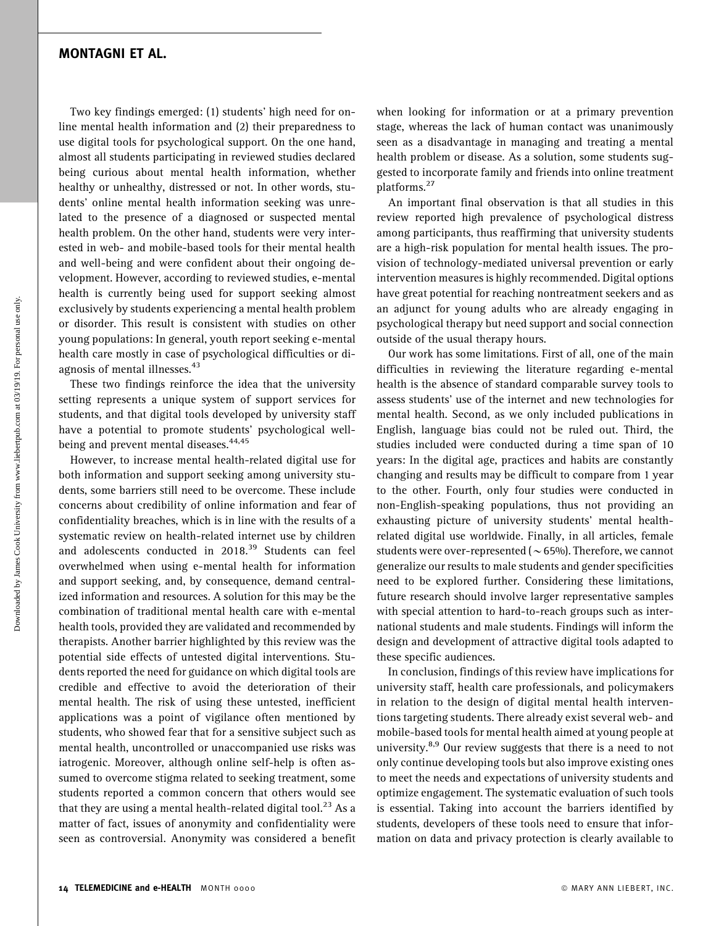### MONTAGNI ET AL.

Two key findings emerged: (1) students' high need for online mental health information and (2) their preparedness to use digital tools for psychological support. On the one hand, almost all students participating in reviewed studies declared being curious about mental health information, whether healthy or unhealthy, distressed or not. In other words, students' online mental health information seeking was unrelated to the presence of a diagnosed or suspected mental health problem. On the other hand, students were very interested in web- and mobile-based tools for their mental health and well-being and were confident about their ongoing development. However, according to reviewed studies, e-mental health is currently being used for support seeking almost exclusively by students experiencing a mental health problem or disorder. This result is consistent with studies on other young populations: In general, youth report seeking e-mental health care mostly in case of psychological difficulties or diagnosis of mental illnesses.<sup>43</sup>

These two findings reinforce the idea that the university setting represents a unique system of support services for students, and that digital tools developed by university staff have a potential to promote students' psychological wellbeing and prevent mental diseases.<sup>44,45</sup>

However, to increase mental health-related digital use for both information and support seeking among university students, some barriers still need to be overcome. These include concerns about credibility of online information and fear of confidentiality breaches, which is in line with the results of a systematic review on health-related internet use by children and adolescents conducted in 2018.<sup>39</sup> Students can feel overwhelmed when using e-mental health for information and support seeking, and, by consequence, demand centralized information and resources. A solution for this may be the combination of traditional mental health care with e-mental health tools, provided they are validated and recommended by therapists. Another barrier highlighted by this review was the potential side effects of untested digital interventions. Students reported the need for guidance on which digital tools are credible and effective to avoid the deterioration of their mental health. The risk of using these untested, inefficient applications was a point of vigilance often mentioned by students, who showed fear that for a sensitive subject such as mental health, uncontrolled or unaccompanied use risks was iatrogenic. Moreover, although online self-help is often assumed to overcome stigma related to seeking treatment, some students reported a common concern that others would see that they are using a mental health-related digital tool.<sup>23</sup> As a matter of fact, issues of anonymity and confidentiality were seen as controversial. Anonymity was considered a benefit

when looking for information or at a primary prevention stage, whereas the lack of human contact was unanimously seen as a disadvantage in managing and treating a mental health problem or disease. As a solution, some students suggested to incorporate family and friends into online treatment platforms.<sup>27</sup>

An important final observation is that all studies in this review reported high prevalence of psychological distress among participants, thus reaffirming that university students are a high-risk population for mental health issues. The provision of technology-mediated universal prevention or early intervention measures is highly recommended. Digital options have great potential for reaching nontreatment seekers and as an adjunct for young adults who are already engaging in psychological therapy but need support and social connection outside of the usual therapy hours.

Our work has some limitations. First of all, one of the main difficulties in reviewing the literature regarding e-mental health is the absence of standard comparable survey tools to assess students' use of the internet and new technologies for mental health. Second, as we only included publications in English, language bias could not be ruled out. Third, the studies included were conducted during a time span of 10 years: In the digital age, practices and habits are constantly changing and results may be difficult to compare from 1 year to the other. Fourth, only four studies were conducted in non-English-speaking populations, thus not providing an exhausting picture of university students' mental healthrelated digital use worldwide. Finally, in all articles, female students were over-represented ( $\sim$  65%). Therefore, we cannot generalize our results to male students and gender specificities need to be explored further. Considering these limitations, future research should involve larger representative samples with special attention to hard-to-reach groups such as international students and male students. Findings will inform the design and development of attractive digital tools adapted to these specific audiences.

In conclusion, findings of this review have implications for university staff, health care professionals, and policymakers in relation to the design of digital mental health interventions targeting students. There already exist several web- and mobile-based tools for mental health aimed at young people at university.<sup>8,9</sup> Our review suggests that there is a need to not only continue developing tools but also improve existing ones to meet the needs and expectations of university students and optimize engagement. The systematic evaluation of such tools is essential. Taking into account the barriers identified by students, developers of these tools need to ensure that information on data and privacy protection is clearly available to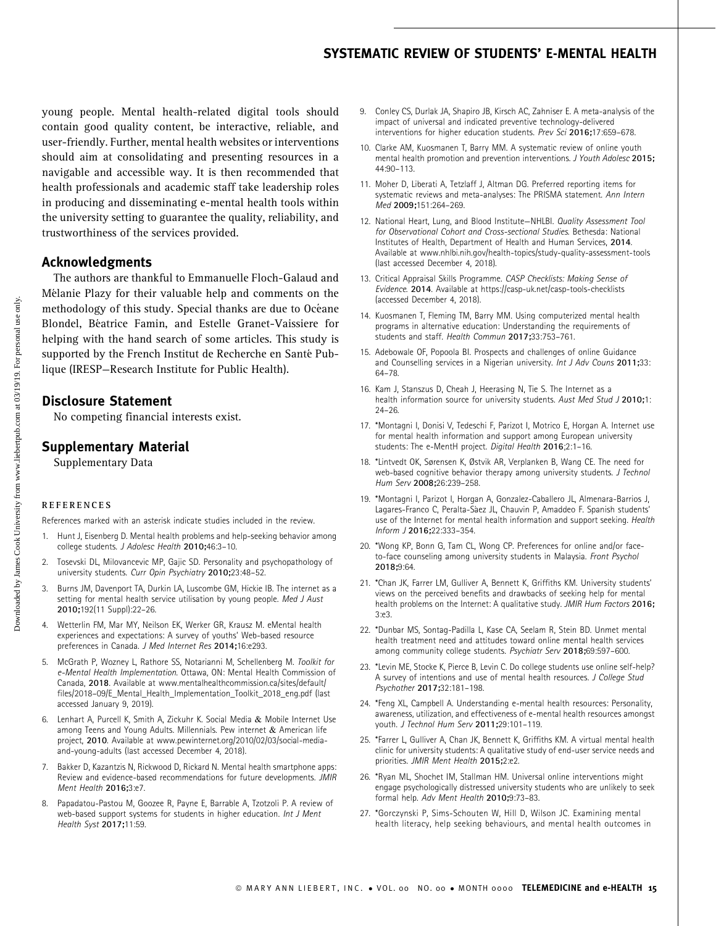# SYSTEMATIC REVIEW OF STUDENTS' E-MENTAL HEALTH

young people. Mental health-related digital tools should contain good quality content, be interactive, reliable, and user-friendly. Further, mental health websites or interventions should aim at consolidating and presenting resources in a navigable and accessible way. It is then recommended that health professionals and academic staff take leadership roles in producing and disseminating e-mental health tools within the university setting to guarantee the quality, reliability, and trustworthiness of the services provided.

## Acknowledgments

The authors are thankful to Emmanuelle Floch-Galaud and Mélanie Plazy for their valuable help and comments on the methodology of this study. Special thanks are due to Océane Blondel, Béatrice Famin, and Estelle Granet-Vaissiere for helping with the hand search of some articles. This study is supported by the French Institut de Recherche en Santé Publique (IRESP—Research Institute for Public Health).

### Disclosure Statement

No competing financial interests exist.

#### Supplementary Material

Supplementary Data

#### REFERENCES

References marked with an asterisk indicate studies included in the review.

- 1. Hunt J, Eisenberg D. Mental health problems and help-seeking behavior among college students. J Adolesc Health 2010;46:3–10.
- 2. Tosevski DL, Milovancevic MP, Gajic SD. Personality and psychopathology of university students. Curr Opin Psychiatry 2010;23:48–52.
- 3. Burns JM, Davenport TA, Durkin LA, Luscombe GM, Hickie IB. The internet as a setting for mental health service utilisation by young people. Med J Aust 2010;192(11 Suppl):22–26.
- 4. Wetterlin FM, Mar MY, Neilson EK, Werker GR, Krausz M. eMental health experiences and expectations: A survey of youths' Web-based resource preferences in Canada. J Med Internet Res 2014;16:e293.
- 5. McGrath P, Wozney L, Rathore SS, Notarianni M, Schellenberg M. Toolkit for e-Mental Health Implementation. Ottawa, ON: Mental Health Commission of Canada, 2018. Available at [www.mentalhealthcommission.ca/sites/default/](http://www.mentalhealthcommission.ca/sites/default/files/2018–09/E_Mental_Health_Implementation_Toolkit_2018_eng.pdf) [files/2018–09/E\\_Mental\\_Health\\_Implementation\\_Toolkit\\_2018\\_eng.pdf](http://www.mentalhealthcommission.ca/sites/default/files/2018–09/E_Mental_Health_Implementation_Toolkit_2018_eng.pdf) (last accessed January 9, 2019).
- 6. Lenhart A, Purcell K, Smith A, Zickuhr K. Social Media & Mobile Internet Use among Teens and Young Adults. Millennials. Pew internet & American life project, 2010. Available at [www.pewinternet.org/2010/02/03/social-media](http://www.pewinternet.org/2010/02/03/social-media-and-young-adults)[and-young-adults](http://www.pewinternet.org/2010/02/03/social-media-and-young-adults) (last accessed December 4, 2018).
- 7. Bakker D, Kazantzis N, Rickwood D, Rickard N. Mental health smartphone apps: Review and evidence-based recommendations for future developments. JMIR Ment Health 2016;3:e7.
- 8. Papadatou-Pastou M, Goozee R, Payne E, Barrable A, Tzotzoli P. A review of web-based support systems for students in higher education. Int J Ment Health Syst 2017;11:59.
- 9. Conley CS, Durlak JA, Shapiro JB, Kirsch AC, Zahniser E. A meta-analysis of the impact of universal and indicated preventive technology-delivered interventions for higher education students. Prev Sci 2016;17:659–678.
- 10. Clarke AM, Kuosmanen T, Barry MM. A systematic review of online youth mental health promotion and prevention interventions. J Youth Adolesc 2015; 44:90–113.
- 11. Moher D, Liberati A, Tetzlaff J, Altman DG. Preferred reporting items for systematic reviews and meta-analyses: The PRISMA statement. Ann Intern Med 2009;151:264–269.
- 12. National Heart, Lung, and Blood Institute-NHLBI. Quality Assessment Tool for Observational Cohort and Cross-sectional Studies. Bethesda: National Institutes of Health, Department of Health and Human Services, 2014. Available at [www.nhlbi.nih.gov/health-topics/study-quality-assessment-tools](http://www.nhlbi.nih.gov/health-topics/study-quality-assessment-tools) (last accessed December 4, 2018).
- 13. Critical Appraisal Skills Programme. CASP Checklists: Making Sense of Evidence. 2014. Available at<https://casp-uk.net/casp-tools-checklists> (accessed December 4, 2018).
- 14. Kuosmanen T, Fleming TM, Barry MM. Using computerized mental health programs in alternative education: Understanding the requirements of students and staff. Health Commun 2017;33:753–761.
- 15. Adebowale OF, Popoola BI. Prospects and challenges of online Guidance and Counselling services in a Nigerian university. Int J Adv Couns 2011;33: 64–78.
- 16. Kam J, Stanszus D, Cheah J, Heerasing N, Tie S. The Internet as a health information source for university students. Aust Med Stud J 2010;1: 24–26.
- 17. \*Montagni I, Donisi V, Tedeschi F, Parizot I, Motrico E, Horgan A. Internet use for mental health information and support among European university students: The e-MentH project. Digital Health 2016;2:1–16.
- 18. \*Lintvedt OK, Sørensen K, Østvik AR, Verplanken B, Wang CE. The need for web-based cognitive behavior therapy among university students. J Technol Hum Serv 2008;26:239–258.
- 19. \*Montagni I, Parizot I, Horgan A, Gonzalez-Caballero JL, Almenara-Barrios J, Lagares-Franco C, Peralta-Sáez JL, Chauvin P, Amaddeo F. Spanish students' use of the Internet for mental health information and support seeking. Health Inform J 2016;22:333–354.
- 20. \*Wong KP, Bonn G, Tam CL, Wong CP. Preferences for online and/or faceto-face counseling among university students in Malaysia. Front Psychol 2018;9:64.
- 21. \*Chan JK, Farrer LM, Gulliver A, Bennett K, Griffiths KM. University students' views on the perceived benefits and drawbacks of seeking help for mental health problems on the Internet: A qualitative study. JMIR Hum Factors 2016; 3:e3.
- 22. \*Dunbar MS, Sontag-Padilla L, Kase CA, Seelam R, Stein BD. Unmet mental health treatment need and attitudes toward online mental health services among community college students. Psychiatr Serv 2018;69:597–600.
- 23. \*Levin ME, Stocke K, Pierce B, Levin C. Do college students use online self-help? A survey of intentions and use of mental health resources. J College Stud Psychother 2017;32:181–198.
- 24. \*Feng XL, Campbell A. Understanding e-mental health resources: Personality, awareness, utilization, and effectiveness of e-mental health resources amongst youth. J Technol Hum Serv 2011;29:101–119.
- 25. \*Farrer L, Gulliver A, Chan JK, Bennett K, Griffiths KM. A virtual mental health clinic for university students: A qualitative study of end-user service needs and priorities. JMIR Ment Health 2015;2:e2.
- 26. \*Ryan ML, Shochet IM, Stallman HM. Universal online interventions might engage psychologically distressed university students who are unlikely to seek formal help. Adv Ment Health 2010;9:73–83.
- 27. \*Gorczynski P, Sims-Schouten W, Hill D, Wilson JC. Examining mental health literacy, help seeking behaviours, and mental health outcomes in